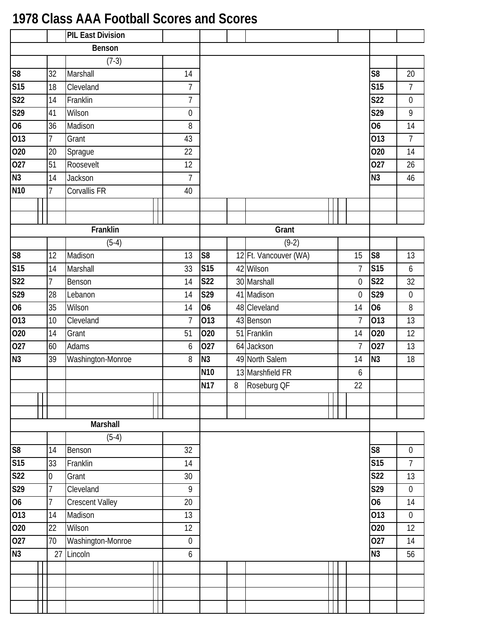## **1978 Class AAA Football Scores and Scores**

|                 | <b>PIL East Division</b> |                        |  |                  |                 |       |                       |  |                |                        |                  |
|-----------------|--------------------------|------------------------|--|------------------|-----------------|-------|-----------------------|--|----------------|------------------------|------------------|
|                 |                          | Benson                 |  |                  |                 |       |                       |  |                |                        |                  |
|                 |                          | $(7-3)$                |  |                  |                 |       |                       |  |                |                        |                  |
| S8              | 32                       | Marshall               |  | 14               |                 |       |                       |  |                | S <sub>8</sub>         | 20               |
| S15             | 18                       | Cleveland              |  | $\overline{1}$   |                 |       |                       |  |                | <b>S15</b>             | $\overline{7}$   |
| S <sub>22</sub> | 14                       | Franklin               |  | $\overline{7}$   |                 |       |                       |  |                | <b>S22</b>             | $\boldsymbol{0}$ |
| S29             | 41                       | Wilson                 |  | $\boldsymbol{0}$ |                 |       |                       |  |                | S29                    | 9                |
| $\overline{06}$ | 36                       | Madison                |  | 8                |                 |       |                       |  |                | 06                     | 14               |
| 013             | $\overline{7}$           | Grant                  |  | 43               |                 |       |                       |  |                | $\overline{013}$       | $\overline{7}$   |
| 020             | 20                       | Sprague                |  | 22               |                 |       |                       |  |                | $\overline{O20}$       | 14               |
| 027             | 51                       | Roosevelt              |  | 12               |                 |       |                       |  |                | $\overline{027}$       | 26               |
| N3              | 14                       | Jackson                |  | $\overline{7}$   |                 |       |                       |  |                | N3                     | 46               |
| <b>N10</b>      | 7                        | <b>Corvallis FR</b>    |  | 40               |                 |       |                       |  |                |                        |                  |
|                 |                          |                        |  |                  |                 |       |                       |  |                |                        |                  |
|                 |                          |                        |  |                  |                 |       |                       |  |                |                        |                  |
|                 |                          | Franklin               |  |                  |                 |       | Grant                 |  |                |                        |                  |
|                 |                          | $(5-4)$                |  |                  |                 |       | $(9-2)$               |  |                |                        |                  |
| S <sub>8</sub>  | 12                       | Madison                |  | 13               | S <sub>8</sub>  |       | 12 Ft. Vancouver (WA) |  | 15             | $\overline{\text{S8}}$ | 13               |
| S15             | 14                       | Marshall               |  | 33               | <b>S15</b>      |       | 42 Wilson             |  | $\overline{7}$ | <b>S15</b>             | 6                |
| <b>S22</b>      | 7                        | Benson                 |  | 14               | <b>S22</b>      |       | 30 Marshall           |  | $\mathbf 0$    | <b>S22</b>             | 32               |
| S29             | 28                       | Lebanon                |  |                  |                 |       | 41 Madison            |  | $\mathbf 0$    | S29                    | $\boldsymbol{0}$ |
| 06              | 35                       | Wilson                 |  |                  |                 |       | 48 Cleveland          |  | 14             | <b>O6</b>              | 8                |
| 013             | 10                       | Cleveland              |  | $\overline{7}$   | 013             |       | 43 Benson             |  | $\overline{7}$ | 013                    | 13               |
| 020             | 14                       | Grant                  |  | 51               | 020             | 51    | Franklin              |  | 14             | 020                    | 12               |
| 027             | 60                       | Adams                  |  | 6                | 027             |       | 64 Jackson            |  | $\overline{1}$ | 027                    | 13               |
| N3              | 39                       | Washington-Monroe      |  | 8                | N <sub>3</sub>  |       | 49 North Salem        |  | 14             | N <sub>3</sub>         | 18               |
|                 |                          |                        |  |                  | N <sub>10</sub> |       | 13 Marshfield FR      |  | 6              |                        |                  |
|                 |                          |                        |  |                  | <b>N17</b>      | $8\,$ | Roseburg OF           |  | 22             |                        |                  |
|                 |                          |                        |  |                  |                 |       |                       |  |                |                        |                  |
|                 |                          |                        |  |                  |                 |       |                       |  |                |                        |                  |
|                 |                          | Marshall               |  |                  |                 |       |                       |  |                |                        |                  |
|                 |                          | $(5-4)$                |  |                  |                 |       |                       |  |                |                        |                  |
| S8              | 14                       | Benson                 |  | 32               |                 |       |                       |  |                | S <sub>8</sub>         | $\boldsymbol{0}$ |
| S15             | 33                       | Franklin               |  | 14               |                 |       |                       |  |                | <b>S15</b>             | $\overline{7}$   |
| S <sub>22</sub> | $\overline{0}$           | Grant                  |  | 30               |                 |       |                       |  |                | <b>S22</b>             | 13               |
| S29             | 7                        | Cleveland              |  | 9                |                 |       |                       |  |                | S29                    | $\boldsymbol{0}$ |
| 06              | $\overline{7}$           | <b>Crescent Valley</b> |  | 20               |                 |       |                       |  |                | 06                     | 14               |
| 013             | 14                       | Madison                |  | 13               |                 |       |                       |  |                | $\overline{013}$       | $\mathbf 0$      |
| 020             | 22                       | Wilson                 |  | 12               |                 |       |                       |  |                | 020                    | 12               |
| 027             | 70                       | Washington-Monroe      |  | $\mathbf 0$      |                 |       |                       |  |                | 027                    | 14               |
| N3              | 27                       | Lincoln                |  | $\boldsymbol{6}$ |                 |       |                       |  |                | N3                     | 56               |
|                 |                          |                        |  |                  |                 |       |                       |  |                |                        |                  |
|                 |                          |                        |  |                  |                 |       |                       |  |                |                        |                  |
|                 |                          |                        |  |                  |                 |       |                       |  |                |                        |                  |
|                 |                          |                        |  |                  |                 |       |                       |  |                |                        |                  |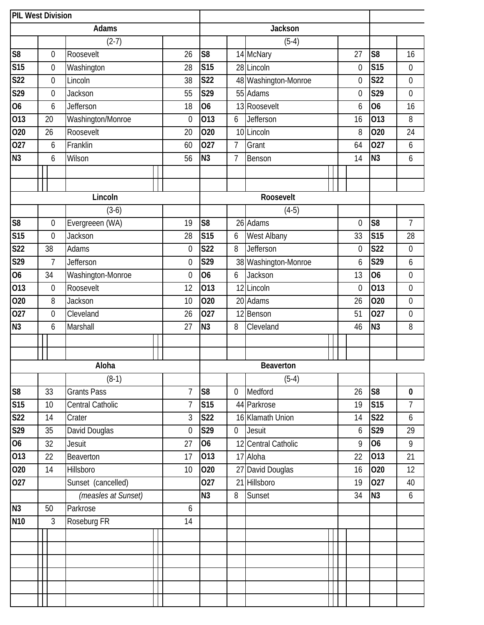|                        | <b>PIL West Division</b> |  |                     |                  |                  |                  |                  |                      |                  |                  |                  |
|------------------------|--------------------------|--|---------------------|------------------|------------------|------------------|------------------|----------------------|------------------|------------------|------------------|
|                        |                          |  | Adams               |                  |                  |                  |                  | <b>Jackson</b>       |                  |                  |                  |
|                        |                          |  | $(2-7)$             |                  |                  |                  |                  | $(5-4)$              |                  |                  |                  |
| S <sub>8</sub>         | $\boldsymbol{0}$         |  | Roosevelt           |                  | 26               | S <sub>8</sub>   |                  | 14 McNary            | 27               | S <sub>8</sub>   | 16               |
| <b>S15</b>             | $\boldsymbol{0}$         |  | Washington          |                  | 28               | <b>S15</b>       |                  | 28 Lincoln           | $\boldsymbol{0}$ | <b>S15</b>       | $\boldsymbol{0}$ |
| <b>S22</b>             | $\boldsymbol{0}$         |  | Lincoln             |                  | 38               | <b>S22</b>       |                  | 48 Washington-Monroe | $\mathbf 0$      | <b>S22</b>       | $\boldsymbol{0}$ |
| S29                    | $\boldsymbol{0}$         |  | Jackson             |                  | 55               | S29              |                  | 55 Adams             | $\boldsymbol{0}$ | S29              | $\boldsymbol{0}$ |
| 06                     | 6                        |  | Jefferson           |                  | 18               | 06               |                  | 13 Roosevelt         | 6                | 06               | 16               |
| 013                    | 20                       |  | Washington/Monroe   |                  | $\boldsymbol{0}$ | 013              | 6                | Jefferson            | 16               | 013              | 8                |
| 020                    | 26                       |  | Roosevelt           |                  | 20               | 020              |                  | 10 Lincoln           | 8                | 020              | 24               |
| 027                    | 6                        |  | Franklin            |                  | 60               | 027              | $\overline{7}$   | Grant                | 64               | 027              | 6                |
| N <sub>3</sub>         | 6                        |  | Wilson              |                  | 56               | N <sub>3</sub>   | 7                | Benson               | 14               | N <sub>3</sub>   | $\boldsymbol{6}$ |
|                        |                          |  |                     |                  |                  |                  |                  |                      |                  |                  |                  |
|                        |                          |  |                     |                  |                  |                  |                  |                      |                  |                  |                  |
|                        |                          |  | Lincoln             |                  |                  |                  |                  | Roosevelt            |                  |                  |                  |
|                        |                          |  | $(3-6)$             |                  |                  |                  |                  | $(4-5)$              |                  |                  |                  |
| $\overline{\text{S8}}$ | $\boldsymbol{0}$         |  | Evergreeen (WA)     |                  | 19               | S <sub>8</sub>   |                  | 26 Adams             | $\boldsymbol{0}$ | S <sub>8</sub>   | $\overline{7}$   |
| <b>S15</b>             | $\mathbf 0$              |  | Jackson             |                  | 28               | <b>S15</b>       | 6                | West Albany          | 33               | <b>S15</b>       | 28               |
| <b>S22</b>             | 38                       |  | Adams               |                  | $\boldsymbol{0}$ | $\overline{S22}$ | 8                | Jefferson            | $\boldsymbol{0}$ | <b>S22</b>       | $\boldsymbol{0}$ |
| S29                    | $\overline{7}$           |  | Jefferson           |                  |                  |                  |                  | 38 Washington-Monroe | 6                | S29              | 6                |
| 06                     | 34                       |  | Washington-Monroe   | $\boldsymbol{0}$ | 06               | 6                | Jackson          | 13                   | 06               | $\boldsymbol{0}$ |                  |
| 013                    | $\boldsymbol{0}$         |  | Roosevelt           | 12               | 013              |                  | 12 Lincoln       | $\mathbf 0$          | 013              | $\mathbf 0$      |                  |
| 020                    | 8                        |  | Jackson             | 10               | 020              |                  | 20 Adams         | 26                   | <b>O20</b>       | $\boldsymbol{0}$ |                  |
| 027                    | $\boldsymbol{0}$         |  | Cleveland           |                  | 26               | 027              |                  | 12 Benson            | 51               | 027              | $\boldsymbol{0}$ |
| N <sub>3</sub>         | 6                        |  | Marshall            |                  | 27               | N <sub>3</sub>   | 8                | Cleveland            | 46               | N <sub>3</sub>   | 8                |
|                        |                          |  |                     |                  |                  |                  |                  |                      |                  |                  |                  |
|                        |                          |  |                     |                  |                  |                  |                  |                      |                  |                  |                  |
|                        |                          |  | Aloha               |                  |                  |                  |                  | Beaverton            |                  |                  |                  |
|                        |                          |  | $(8-1)$             |                  |                  |                  |                  | $(5-4)$              |                  |                  |                  |
| $\overline{\text{S8}}$ | 33                       |  | <b>Grants Pass</b>  |                  | $\overline{1}$   | S <sub>8</sub>   | $\mathbf 0$      | Medford              | 26               | S <sub>8</sub>   | $\bf{0}$         |
| S15                    | 10                       |  | Central Catholic    |                  | $\overline{1}$   | <b>S15</b>       |                  | 44 Parkrose          | 19               | <b>S15</b>       | $\overline{7}$   |
| <b>S22</b>             | 14                       |  | Crater              |                  | 3                | <b>S22</b>       |                  | 16 Klamath Union     | 14               | <b>S22</b>       | 6                |
| S29                    | 35                       |  | David Douglas       |                  | $\overline{0}$   | S29              | $\boldsymbol{0}$ | <b>Jesuit</b>        | 6                | S29              | 29               |
| 06                     | 32                       |  | <b>Jesuit</b>       |                  | 27               | <b>O6</b>        |                  | 12 Central Catholic  | 9                | O <sub>6</sub>   | 9                |
| 013                    | 22                       |  | Beaverton           |                  | 17               | 013              |                  | 17 Aloha             | 22               | 013              | 21               |
| 020                    | 14                       |  | Hillsboro           |                  | 10               | 020              | 27               | David Douglas        | 16               | 020              | 12               |
| 027                    |                          |  | Sunset (cancelled)  |                  |                  | 027              | 21               | Hillsboro            | 19               | 027              | 40               |
|                        |                          |  | (measles at Sunset) |                  |                  | $\overline{N3}$  | 8                | Sunset               | 34               | N3               | $\boldsymbol{6}$ |
| N3                     | 50                       |  | Parkrose            |                  | 6                |                  |                  |                      |                  |                  |                  |
| N <sub>10</sub>        | $\mathfrak{Z}$           |  | Roseburg FR         |                  | 14               |                  |                  |                      |                  |                  |                  |
|                        |                          |  |                     |                  |                  |                  |                  |                      |                  |                  |                  |
|                        |                          |  |                     |                  |                  |                  |                  |                      |                  |                  |                  |
|                        |                          |  |                     |                  |                  |                  |                  |                      |                  |                  |                  |
|                        |                          |  |                     |                  |                  |                  |                  |                      |                  |                  |                  |
|                        |                          |  |                     |                  |                  |                  |                  |                      |                  |                  |                  |
|                        |                          |  |                     |                  |                  |                  |                  |                      |                  |                  |                  |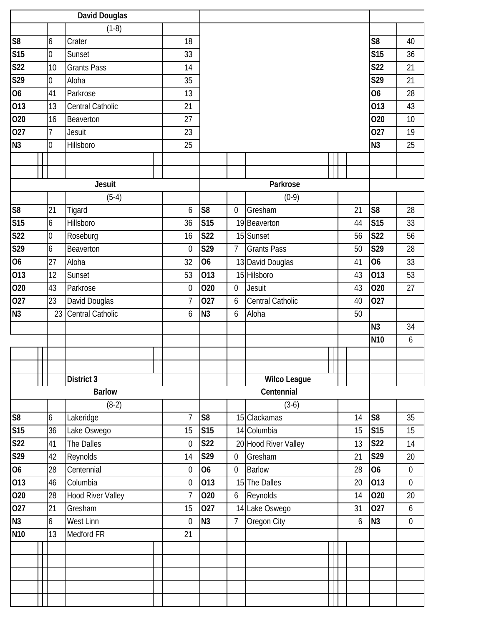|                 | <b>David Douglas</b> |                |                    |  |                  |                |                  |                         |    |                  |                  |
|-----------------|----------------------|----------------|--------------------|--|------------------|----------------|------------------|-------------------------|----|------------------|------------------|
|                 |                      |                | $(1-8)$            |  |                  |                |                  |                         |    |                  |                  |
| S8              |                      | 6              | Crater             |  | 18               |                |                  |                         |    | S <sub>8</sub>   | 40               |
| S15             |                      | $\overline{0}$ | Sunset             |  | 33               |                |                  |                         |    | <b>S15</b>       | 36               |
| <b>S22</b>      |                      | 10             | <b>Grants Pass</b> |  | 14               |                |                  |                         |    | <b>S22</b>       | 21               |
| S29             |                      | $\overline{0}$ | Aloha              |  | 35               |                |                  |                         |    | S29              | 21               |
| 06              |                      | 41             | Parkrose           |  | 13               |                |                  |                         |    | 06               | 28               |
| 013             |                      | 13             | Central Catholic   |  | 21               |                |                  |                         |    | $\overline{013}$ | 43               |
| 020             |                      | 16             | Beaverton          |  | 27               |                |                  |                         |    | 020              | 10               |
| 027             |                      | 7              | Jesuit             |  | 23               |                |                  |                         |    | 027              | 19               |
| N3              |                      | $\overline{0}$ | Hillsboro          |  | 25               |                |                  |                         |    | N <sub>3</sub>   | 25               |
|                 |                      |                |                    |  |                  |                |                  |                         |    |                  |                  |
|                 |                      |                |                    |  |                  |                |                  |                         |    |                  |                  |
|                 |                      |                | <b>Jesuit</b>      |  |                  |                |                  | Parkrose                |    |                  |                  |
|                 |                      |                | $(5-4)$            |  |                  |                |                  | $(0-9)$                 |    |                  |                  |
| S <sub>8</sub>  |                      | 21             | Tigard             |  | 6                | S <sub>8</sub> | 0                | Gresham                 | 21 | S <sub>8</sub>   | 28               |
| S15             |                      | 6              | Hillsboro          |  | 36               | <b>S15</b>     |                  | 19 Beaverton            | 44 | S15              | 33               |
| S <sub>22</sub> |                      | $\overline{0}$ | Roseburg           |  | 16               | <b>S22</b>     |                  | 15 Sunset               | 56 | <b>S22</b>       | 56               |
| S29             |                      | 6              | Beaverton          |  | $\mathbf{0}$     | S29            | $\overline{7}$   | <b>Grants Pass</b>      | 50 | S29              | 28               |
| 06              |                      | 27             | Aloha              |  |                  | 06             |                  | 13 David Douglas        | 41 | <b>O6</b>        | 33               |
| 013             |                      | 12             | Sunset             |  |                  |                |                  | 15 Hilsboro             | 43 | 013              | 53               |
| 020             |                      | 43             | Parkrose           |  |                  |                | $\overline{0}$   | Jesuit                  | 43 | 020              | 27               |
| 027             |                      | 23             | David Douglas      |  | $\overline{1}$   | 027            | 6                | <b>Central Catholic</b> | 40 | 027              |                  |
| N <sub>3</sub>  |                      | 23             | Central Catholic   |  | 6                | N <sub>3</sub> | 6                | Aloha                   | 50 |                  |                  |
|                 |                      |                |                    |  |                  |                |                  |                         |    | N <sub>3</sub>   | 34               |
|                 |                      |                |                    |  |                  |                |                  |                         |    | N <sub>10</sub>  | 6                |
|                 |                      |                |                    |  |                  |                |                  |                         |    |                  |                  |
|                 |                      |                |                    |  |                  |                |                  |                         |    |                  |                  |
|                 |                      |                | District 3         |  |                  |                |                  | <b>Wilco League</b>     |    |                  |                  |
|                 |                      |                | <b>Barlow</b>      |  |                  |                |                  | Centennial              |    |                  |                  |
|                 |                      |                | $(8-2)$            |  |                  |                |                  | $(3-6)$                 |    |                  |                  |
| S8              |                      | 6              | Lakeridge          |  | $\overline{1}$   | S <sub>8</sub> |                  | 15 Clackamas            | 14 | S <sub>8</sub>   | 35               |
| S15             |                      | 36             | Lake Oswego        |  | 15               | <b>S15</b>     |                  | 14 Columbia             | 15 | <b>S15</b>       | 15               |
| S <sub>22</sub> |                      | 41             | The Dalles         |  | $\mathbf 0$      | <b>S22</b>     |                  | 20 Hood River Valley    | 13 | <b>S22</b>       | 14               |
| S29             |                      | 42             | Reynolds           |  | 14               | S29            | $\mathbf 0$      | Gresham                 | 21 | S29              | 20               |
| 06              |                      | 28             | Centennial         |  | $\mathbf 0$      | <b>O6</b>      | $\boldsymbol{0}$ | <b>Barlow</b>           | 28 | <b>O6</b>        | $\boldsymbol{0}$ |
| 013             |                      | 46             | Columbia           |  | $\boldsymbol{0}$ | 013            |                  | 15 The Dalles           | 20 | 013              | $\mathbf 0$      |
| 020             |                      | 28             | Hood River Valley  |  | $\overline{1}$   | 020            | 6                | Reynolds                | 14 | 020              | 20               |
| 027             |                      | 21             | Gresham            |  | 15               | 027            |                  | 14 Lake Oswego          | 31 | 027              | $\boldsymbol{6}$ |
| N3              |                      | 6              | West Linn          |  | $\mathbf{0}$     | N <sub>3</sub> | $\overline{7}$   | Oregon City             | 6  | N3               | $\boldsymbol{0}$ |
| <b>N10</b>      |                      | 13             | Medford FR         |  | 21               |                |                  |                         |    |                  |                  |
|                 |                      |                |                    |  |                  |                |                  |                         |    |                  |                  |
|                 |                      |                |                    |  |                  |                |                  |                         |    |                  |                  |
|                 |                      |                |                    |  |                  |                |                  |                         |    |                  |                  |
|                 |                      |                |                    |  |                  |                |                  |                         |    |                  |                  |
|                 |                      |                |                    |  |                  |                |                  |                         |    |                  |                  |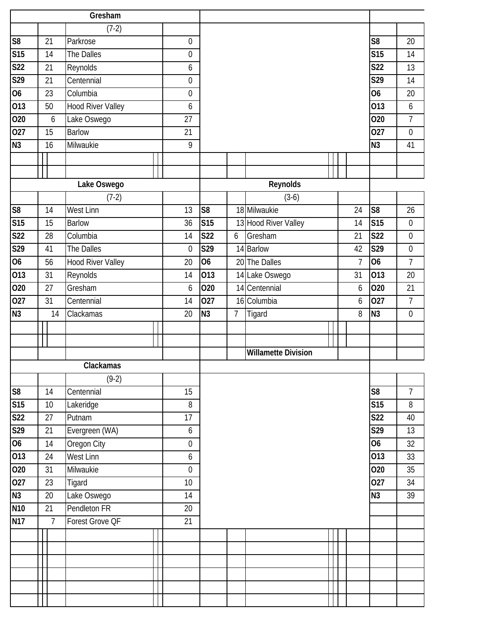|                          | Gresham |    |                          |  |                  |                |                |                            |  |                |                         |                  |
|--------------------------|---------|----|--------------------------|--|------------------|----------------|----------------|----------------------------|--|----------------|-------------------------|------------------|
|                          |         |    | $(7-2)$                  |  |                  |                |                |                            |  |                |                         |                  |
| S <sub>8</sub>           |         | 21 | Parkrose                 |  | $\mathbf 0$      |                |                |                            |  |                | S <sub>8</sub>          | 20               |
| S15                      |         | 14 | The Dalles               |  | 0                |                |                |                            |  |                | $\overline{\text{S15}}$ | 14               |
| <b>S22</b>               |         | 21 | Reynolds                 |  | 6                |                |                |                            |  |                | <b>S22</b>              | 13               |
| S29                      |         | 21 | Centennial               |  | 0                |                |                |                            |  |                | S29                     | 14               |
| $\overline{00}$          |         | 23 | Columbia                 |  | 0                |                |                |                            |  |                | <b>O6</b>               | 20               |
| 013                      |         | 50 | <b>Hood River Valley</b> |  | 6                |                |                |                            |  |                | $\overline{013}$        | 6                |
| 020                      |         | 6  | Lake Oswego              |  | 27               |                |                |                            |  |                | 020                     | $\overline{7}$   |
| 027                      |         | 15 | <b>Barlow</b>            |  | 21               |                |                |                            |  |                | $\overline{027}$        | $\mathbf 0$      |
| N <sub>3</sub>           |         | 16 | Milwaukie                |  | 9                |                |                |                            |  |                | N <sub>3</sub>          | 41               |
|                          |         |    |                          |  |                  |                |                |                            |  |                |                         |                  |
|                          |         |    |                          |  |                  |                |                |                            |  |                |                         |                  |
|                          |         |    | Lake Oswego              |  |                  |                |                | Reynolds                   |  |                |                         |                  |
|                          |         |    | $(7-2)$                  |  |                  |                |                | $(3-6)$                    |  |                |                         |                  |
| S <sub>8</sub>           |         | 14 | West Linn                |  | 13               | S <sub>8</sub> |                | 18 Milwaukie               |  | 24             | S <sub>8</sub>          | 26               |
| S15                      |         | 15 | <b>Barlow</b>            |  | 36               | <b>S15</b>     |                | 13 Hood River Valley       |  | 14             | <b>S15</b>              | $\mathbf 0$      |
| <b>S22</b>               |         | 28 | Columbia                 |  | 14               | <b>S22</b>     | 6              | Gresham                    |  | 21             | S <sub>22</sub>         | $\mathbf 0$      |
| S29                      |         | 41 | The Dalles               |  | $\boldsymbol{0}$ | S29            |                | 14 Barlow                  |  | 42             | S29                     | $\boldsymbol{0}$ |
| 06                       |         | 56 | <b>Hood River Valley</b> |  | 20               | <b>O6</b>      |                | 20 The Dalles              |  | $\overline{7}$ | 06                      | $\overline{7}$   |
| 013                      |         | 31 | Reynolds                 |  | 14               | 013            |                | 14 Lake Oswego             |  | 31             | 013                     | 20               |
| 020                      |         | 27 | Gresham                  |  | 6                | 020            |                | 14 Centennial              |  | 6              | 020                     | 21               |
| 027                      |         | 31 | Centennial               |  | 14               | 027            |                | 16 Columbia                |  | 6              | 027                     | $\overline{7}$   |
| N <sub>3</sub>           |         | 14 | Clackamas                |  | 20               | N <sub>3</sub> | $\overline{7}$ | Tigard                     |  | 8              | N <sub>3</sub>          | $\mathbf 0$      |
|                          |         |    |                          |  |                  |                |                |                            |  |                |                         |                  |
|                          |         |    |                          |  |                  |                |                |                            |  |                |                         |                  |
|                          |         |    |                          |  |                  |                |                | <b>Willamette Division</b> |  |                |                         |                  |
|                          |         |    | Clackamas                |  |                  |                |                |                            |  |                |                         |                  |
|                          |         |    | $(9-2)$                  |  |                  |                |                |                            |  |                |                         |                  |
| $\overline{\mathcal{S}}$ |         | 14 | Centennial               |  | 15               |                |                |                            |  |                | $\overline{\text{S8}}$  | $\overline{7}$   |
| S15                      |         | 10 | Lakeridge                |  | 8                |                |                |                            |  |                | S15                     | 8                |
| <b>S22</b>               |         | 27 | Putnam                   |  | 17               |                |                |                            |  |                | <b>S22</b>              | 40               |
| S29                      |         | 21 | Evergreen (WA)           |  | 6                |                |                |                            |  |                | S29                     | 13               |
| $\overline{60}$          |         | 14 | Oregon City              |  | $\overline{0}$   |                |                |                            |  |                | <b>O6</b>               | 32               |
| 013                      |         | 24 | <b>West Linn</b>         |  | 6                |                |                |                            |  |                | $\overline{013}$        | 33               |
| 020                      |         | 31 | Milwaukie                |  | $\boldsymbol{0}$ |                |                |                            |  |                | 020                     | 35               |
| 027                      |         | 23 | Tigard                   |  | 10 <sup>1</sup>  |                |                |                            |  |                | 027                     | 34               |
| N3                       |         | 20 | Lake Oswego              |  | 14               |                |                |                            |  |                | N3                      | 39               |
| <b>N10</b>               |         | 21 | Pendleton FR             |  | 20               |                |                |                            |  |                |                         |                  |
| <b>N17</b>               |         | 7  | Forest Grove QF          |  | 21               |                |                |                            |  |                |                         |                  |
|                          |         |    |                          |  |                  |                |                |                            |  |                |                         |                  |
|                          |         |    |                          |  |                  |                |                |                            |  |                |                         |                  |
|                          |         |    |                          |  |                  |                |                |                            |  |                |                         |                  |
|                          |         |    |                          |  |                  |                |                |                            |  |                |                         |                  |
|                          |         |    |                          |  |                  |                |                |                            |  |                |                         |                  |
|                          |         |    |                          |  |                  |                |                |                            |  |                |                         |                  |
|                          |         |    |                          |  |                  |                |                |                            |  |                |                         |                  |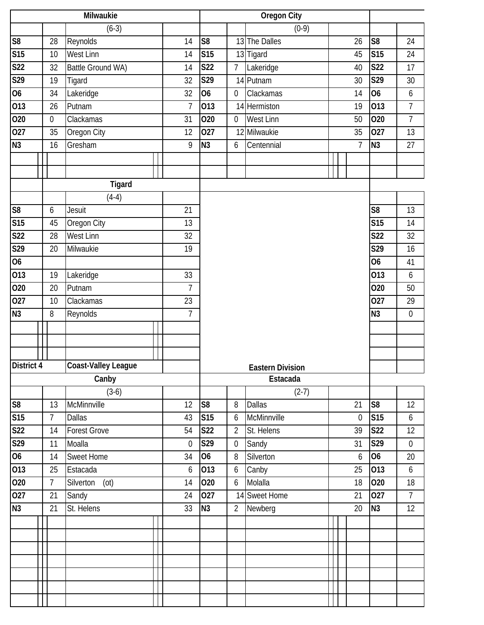|                        | Milwaukie      |                     |                |                  |                 | <b>Oregon City</b>      |                |                  |                  |
|------------------------|----------------|---------------------|----------------|------------------|-----------------|-------------------------|----------------|------------------|------------------|
|                        |                | $(6-3)$             |                |                  |                 | $(0-9)$                 |                |                  |                  |
| S8                     | 28             | Reynolds            | 14             | S <sub>8</sub>   |                 | 13 The Dalles           | 26             | S <sub>8</sub>   | 24               |
| <b>S15</b>             | 10             | West Linn           | 14             | <b>S15</b>       |                 | 13 Tigard               | 45             | S15              | 24               |
| S <sub>22</sub>        | 32             | Battle Ground WA)   | 14             | <b>S22</b>       | $7\overline{ }$ | Lakeridge               | 40             | <b>S22</b>       | 17               |
| S29                    | 19             | Tigard              | 32             | S29              |                 | 14 Putnam               | 30             | S29              | 30               |
| $\overline{06}$        | 34             | Lakeridge           | 32             | <b>O6</b>        | $\mathbf 0$     | Clackamas               | 14             | 06               | 6                |
| $\overline{013}$       | 26             | Putnam              | $\overline{1}$ | $\overline{013}$ |                 | 14 Hermiston            | 19             | 013              | $\overline{7}$   |
| 020                    | $\overline{0}$ | Clackamas           | 31             | 020              | $\overline{0}$  | West Linn               | 50             | 020              | $\overline{7}$   |
| 027                    | 35             | Oregon City         | 12             | 027              |                 | 12 Milwaukie            | 35             | 027              | 13               |
| N3                     | 16             | Gresham             | 9              | N <sub>3</sub>   | 6               | Centennial              | $\overline{7}$ | N <sub>3</sub>   | 27               |
|                        |                |                     |                |                  |                 |                         |                |                  |                  |
|                        |                |                     |                |                  |                 |                         |                |                  |                  |
|                        |                | Tigard              |                |                  |                 |                         |                |                  |                  |
|                        |                | $(4-4)$             |                |                  |                 |                         |                |                  |                  |
| $\overline{\text{S8}}$ | 6              | Jesuit              | 21             |                  |                 |                         |                | S <sub>8</sub>   | 13               |
| S15                    | 45             | Oregon City         | 13             |                  |                 |                         |                | <b>S15</b>       | 14               |
| $\overline{S22}$       | 28             | West Linn           | 32             |                  |                 |                         |                | <b>S22</b>       | 32               |
| S29                    | 20             | Milwaukie           | 19             |                  |                 |                         |                | S29              | 16               |
| $\overline{06}$        |                |                     |                |                  |                 |                         |                | <b>O6</b>        | 41               |
| 013                    | 19             | Lakeridge           | 33             |                  |                 |                         |                | 013              | $\boldsymbol{6}$ |
| 020                    | 20             | Putnam              | $\overline{7}$ |                  |                 |                         |                | 020              | 50               |
| $\overline{027}$       | 10             | Clackamas           | 23             |                  |                 |                         |                | $\overline{027}$ | 29               |
| N3                     | 8              | Reynolds            | $\overline{7}$ |                  |                 |                         |                | N3               | $\overline{0}$   |
|                        |                |                     |                |                  |                 |                         |                |                  |                  |
|                        |                |                     |                |                  |                 |                         |                |                  |                  |
|                        |                |                     |                |                  |                 |                         |                |                  |                  |
| District 4             |                | Coast-Valley League |                |                  |                 | <b>Eastern Division</b> |                |                  |                  |
|                        |                | Canby               |                |                  |                 | Estacada                |                |                  |                  |
|                        |                | $(3-6)$             |                |                  |                 | $(2-7)$                 |                |                  |                  |
| S8                     | 13             | McMinnville         | 12             | S <sub>8</sub>   | 8               | <b>Dallas</b>           | 21             | S <sub>8</sub>   | 12               |
| <b>S15</b>             | $7^{\circ}$    | <b>Dallas</b>       | 43             | S <sub>15</sub>  | 6               | McMinnville             | $\mathbf 0$    | S <sub>15</sub>  | 6                |
| <b>S22</b>             | 14             | <b>Forest Grove</b> | 54             | <b>S22</b>       | $\overline{2}$  | St. Helens              | 39             | <b>S22</b>       | 12               |
| S29                    | 11             | Moalla              | $\mathbf 0$    | S29              | $\overline{0}$  | Sandy                   | 31             | S29              | $\mathbf 0$      |
| 06                     | 14             | Sweet Home          | 34             | <b>O6</b>        | 8               | Silverton               | 6              | 06               | 20               |
| 013                    | 25             | Estacada            | 6              | 013              | 6               | Canby                   | 25             | 013              | 6                |
| 020                    | $\overline{7}$ | Silverton<br>(ot)   | 14             | 020              | 6               | Molalla                 | 18             | 020              | 18               |
| 027                    | 21             | Sandy               | 24             | 027              |                 | 14 Sweet Home           | 21             | 027              | $\overline{7}$   |
| N3                     | 21             | St. Helens          | 33             | N <sub>3</sub>   | $\overline{2}$  | Newberg                 | 20             | N3               | 12               |
|                        |                |                     |                |                  |                 |                         |                |                  |                  |
|                        |                |                     |                |                  |                 |                         |                |                  |                  |
|                        |                |                     |                |                  |                 |                         |                |                  |                  |
|                        |                |                     |                |                  |                 |                         |                |                  |                  |
|                        |                |                     |                |                  |                 |                         |                |                  |                  |
|                        |                |                     |                |                  |                 |                         |                |                  |                  |
|                        |                |                     |                |                  |                 |                         |                |                  |                  |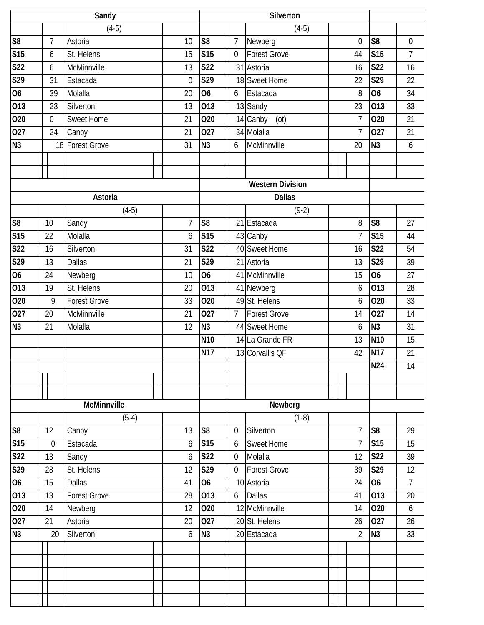|                         | Sandy            |                     |             |                |                  | Silverton               |                |                |                |
|-------------------------|------------------|---------------------|-------------|----------------|------------------|-------------------------|----------------|----------------|----------------|
|                         |                  | $(4-5)$             |             |                |                  | $(4-5)$                 |                |                |                |
| S <sub>8</sub>          | $\overline{7}$   | Astoria             | 10          | S <sub>8</sub> | $\overline{7}$   | Newberg                 | $\mathbf{0}$   | S <sub>8</sub> | $\mathbf 0$    |
| <b>S15</b>              | 6                | St. Helens          | 15          | <b>S15</b>     | $\mathbf 0$      | <b>Forest Grove</b>     | 44             | <b>S15</b>     | $\overline{7}$ |
| S <sub>22</sub>         | 6                | McMinnville         | 13          | <b>S22</b>     |                  | 31 Astoria              | 16             | <b>S22</b>     | 16             |
| S29                     | 31               | Estacada            | $\mathbf 0$ | S29            |                  | 18 Sweet Home           | 22             | S29            | 22             |
| 06                      | 39               | Molalla             | 20          | 06             | 6                | Estacada                | 8              | 06             | 34             |
| $\overline{013}$        | 23               | Silverton           | 13          | 013            |                  | 13 Sandy                | 23             | 013            | 33             |
| 020                     | $\boldsymbol{0}$ | <b>Sweet Home</b>   | 21          | 020            |                  | 14 Canby<br>(ot)        | 7              | 020            | 21             |
| 027                     | 24               | Canby               | 21          | 027            |                  | 34 Molalla              | 7              | 027            | 21             |
| N <sub>3</sub>          |                  | 18 Forest Grove     | 31          | N <sub>3</sub> | 6                | McMinnville             | 20             | N <sub>3</sub> | 6              |
|                         |                  |                     |             |                |                  |                         |                |                |                |
|                         |                  |                     |             |                |                  |                         |                |                |                |
|                         |                  |                     |             |                |                  | <b>Western Division</b> |                |                |                |
|                         |                  | Astoria             |             |                |                  | <b>Dallas</b>           |                |                |                |
|                         |                  | $(4-5)$             |             |                |                  | $(9-2)$                 |                |                |                |
| $\overline{\text{S8}}$  | 10               | Sandy               | 7           | S <sub>8</sub> |                  | 21 Estacada             | 8              | S <sub>8</sub> | 27             |
| $\overline{\text{S15}}$ | 22               | Molalla             | 6           | <b>S15</b>     |                  | 43 Canby                | $\overline{7}$ | S15            | 44             |
| <b>S22</b>              | 16               | Silverton           | 31          | <b>S22</b>     |                  | 40 Sweet Home           | 16             | <b>S22</b>     | 54             |
| S29                     | 13               | <b>Dallas</b>       | 21          | S29            |                  | 21 Astoria              | 13             | S29            | 39             |
| 06                      | 24               | Newberg             | 10          | 06             |                  | 41 McMinnville          | 15             | 06             | 27             |
| 013                     | 19               | St. Helens          | 20          | 013            |                  | 41 Newberg              | 6              | 013            | 28             |
| 020                     | 9                | <b>Forest Grove</b> | 33          | 020            |                  | 49 St. Helens           | 6              | 020            | 33             |
| 027                     | 20               | McMinnville         | 21          | 027            | 7 <sup>1</sup>   | <b>Forest Grove</b>     | 14             | 027            | 14             |
| N <sub>3</sub>          | 21               | Molalla             | 12          | N <sub>3</sub> |                  | 44 Sweet Home           | 6              | N <sub>3</sub> | 31             |
|                         |                  |                     |             | <b>N10</b>     |                  | 14 La Grande FR         | 13             | <b>N10</b>     | 15             |
|                         |                  |                     |             | N17            |                  | 13 Corvallis QF         | 42             | <b>N17</b>     | 21             |
|                         |                  |                     |             |                |                  |                         |                | N24            | 14             |
|                         |                  |                     |             |                |                  |                         |                |                |                |
|                         |                  |                     |             |                |                  |                         |                |                |                |
|                         |                  | <b>McMinnville</b>  |             |                |                  | Newberg                 |                |                |                |
|                         |                  | $(5-4)$             |             |                |                  | $(1-8)$                 |                |                |                |
| S <sub>8</sub>          | 12               | Canby               | 13          | S <sub>8</sub> | $\boldsymbol{0}$ | Silverton               | $\overline{7}$ | S <sub>8</sub> | 29             |
| <b>S15</b>              | $\boldsymbol{0}$ | Estacada            | 6           | <b>S15</b>     | 6                | <b>Sweet Home</b>       | $\overline{7}$ | S15            | 15             |
| <b>S22</b>              | 13               | Sandy               | 6           | <b>S22</b>     | $\boldsymbol{0}$ | Molalla                 | 12             | <b>S22</b>     | 39             |
| S29                     | 28               | St. Helens          | 12          | S29            | $\boldsymbol{0}$ | <b>Forest Grove</b>     | 39             | S29            | 12             |
| $\overline{06}$         | 15               | <b>Dallas</b>       | 41          | 06             |                  | 10 Astoria              | 24             | O <sub>6</sub> | $\overline{7}$ |
| 013                     | 13               | <b>Forest Grove</b> | 28          | 013            | 6                | <b>Dallas</b>           | 41             | 013            | 20             |
| 020                     | 14               | Newberg             | 12          | 020            |                  | 12 McMinnville          | 14             | 020            | 6              |
| 027                     | 21               | Astoria             | 20          | 027            |                  | 20 St. Helens           | 26             | 027            | 26             |
| N3                      | 20               | Silverton           | 6           | N <sub>3</sub> |                  | 20 Estacada             | $\overline{2}$ | N <sub>3</sub> | 33             |
|                         |                  |                     |             |                |                  |                         |                |                |                |
|                         |                  |                     |             |                |                  |                         |                |                |                |
|                         |                  |                     |             |                |                  |                         |                |                |                |
|                         |                  |                     |             |                |                  |                         |                |                |                |
|                         |                  |                     |             |                |                  |                         |                |                |                |
|                         |                  |                     |             |                |                  |                         |                |                |                |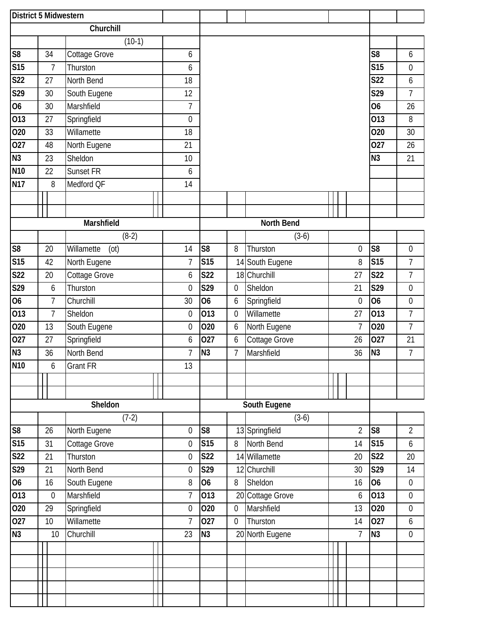|                 | District 5 Midwestern |                  |                    |                  |                  |                  |                  |                 |             |                  |                  |                  |
|-----------------|-----------------------|------------------|--------------------|------------------|------------------|------------------|------------------|-----------------|-------------|------------------|------------------|------------------|
|                 |                       |                  | Churchill          |                  |                  |                  |                  |                 |             |                  |                  |                  |
|                 |                       |                  | $(10-1)$           |                  |                  |                  |                  |                 |             |                  |                  |                  |
| S <sub>8</sub>  |                       | 34               | Cottage Grove      |                  | 6                |                  |                  |                 |             |                  | S <sub>8</sub>   | 6                |
| <b>S15</b>      |                       | $\overline{7}$   | Thurston           |                  | 6                |                  |                  |                 |             |                  | <b>S15</b>       | $\boldsymbol{0}$ |
| <b>S22</b>      |                       | 27               | North Bend         |                  | 18               |                  |                  |                 |             |                  | <b>S22</b>       | 6                |
| S29             |                       | 30               | South Eugene       |                  | 12               |                  |                  |                 |             |                  | S29              | $\overline{7}$   |
| 06              |                       | 30               | Marshfield         |                  | $\overline{1}$   |                  |                  |                 |             |                  | $\overline{06}$  | 26               |
| 013             |                       | 27               | Springfield        |                  | $\mathbf 0$      |                  |                  |                 |             |                  | 013              | 8                |
| 020             |                       | 33               | Willamette         |                  | 18               |                  |                  |                 |             |                  | 020              | 30               |
| 027             |                       | 48               | North Eugene       |                  | 21               |                  |                  |                 |             |                  | 027              | 26               |
| N3              |                       | 23               | Sheldon            |                  | 10               |                  |                  |                 |             |                  | N <sub>3</sub>   | 21               |
| N <sub>10</sub> |                       | 22               | Sunset FR          |                  | 6                |                  |                  |                 |             |                  |                  |                  |
| <b>N17</b>      |                       | $\, 8$           | Medford QF         |                  | 14               |                  |                  |                 |             |                  |                  |                  |
|                 |                       |                  |                    |                  |                  |                  |                  |                 |             |                  |                  |                  |
|                 |                       |                  |                    |                  |                  |                  |                  |                 |             |                  |                  |                  |
|                 |                       |                  | Marshfield         |                  |                  |                  |                  | North Bend      |             |                  |                  |                  |
|                 |                       |                  | $(8-2)$            |                  |                  |                  |                  | $(3-6)$         |             |                  |                  |                  |
| S <sub>8</sub>  |                       | 20               | Willamette<br>(ot) |                  | 14               | S <sub>8</sub>   | 8                | Thurston        |             | $\boldsymbol{0}$ | S <sub>8</sub>   | $\boldsymbol{0}$ |
| <b>S15</b>      |                       | 42               | North Eugene       |                  | $\overline{7}$   | <b>S15</b>       |                  | 14 South Eugene |             | 8                | <b>S15</b>       | $\overline{7}$   |
| <b>S22</b>      |                       | 20               | Cottage Grove      |                  | 6                | <b>S22</b>       |                  | 18 Churchill    |             | 27               | <b>S22</b>       | 7                |
| S29             |                       | 6                | Thurston           | $\boldsymbol{0}$ | S29              | $\boldsymbol{0}$ | Sheldon          |                 | 21          | S29              | $\boldsymbol{0}$ |                  |
| $\overline{06}$ |                       | $\overline{7}$   | Churchill          | 30               | $\overline{06}$  | 6                | Springfield      |                 | $\mathbf 0$ | O <sub>6</sub>   | $\boldsymbol{0}$ |                  |
| 013             |                       | $\overline{7}$   | Sheldon            |                  | $\boldsymbol{0}$ | 013              | $\boldsymbol{0}$ | Willamette      |             | 27               | 013              | $\overline{7}$   |
| 020             |                       | 13               | South Eugene       |                  | $\boldsymbol{0}$ | 020              | 6                | North Eugene    |             | $\overline{7}$   | 020              | $\overline{7}$   |
| 027             |                       | 27               | Springfield        |                  | 6                | 027              | $\boldsymbol{6}$ | Cottage Grove   |             | 26               | 027              | 21               |
| N <sub>3</sub>  |                       | 36               | North Bend         |                  | $\overline{1}$   | N <sub>3</sub>   | $\overline{7}$   | Marshfield      |             | 36               | N <sub>3</sub>   | $\overline{7}$   |
| <b>N10</b>      |                       | 6                | <b>Grant FR</b>    |                  | 13               |                  |                  |                 |             |                  |                  |                  |
|                 |                       |                  |                    |                  |                  |                  |                  |                 |             |                  |                  |                  |
|                 |                       |                  |                    |                  |                  |                  |                  |                 |             |                  |                  |                  |
|                 |                       |                  | Sheldon            |                  |                  |                  |                  | South Eugene    |             |                  |                  |                  |
|                 |                       |                  | $(7-2)$            |                  |                  |                  |                  | $(3-6)$         |             |                  |                  |                  |
| ${\sf S8}$      |                       | 26               | North Eugene       |                  | 0                | S <sub>8</sub>   |                  | 13 Springfield  |             | $\overline{2}$   | S <sub>8</sub>   | $\overline{2}$   |
| <b>S15</b>      |                       | 31               | Cottage Grove      |                  | $\boldsymbol{0}$ | <b>S15</b>       | 8                | North Bend      |             | 14               | S15              | 6                |
| <b>S22</b>      |                       | 21               | Thurston           |                  | $\boldsymbol{0}$ | <b>S22</b>       |                  | 14 Willamette   |             | 20               | <b>S22</b>       | 20               |
| S29             |                       | 21               | North Bend         |                  | $\boldsymbol{0}$ | S29              | 12               | Churchill       |             | 30               | S29              | 14               |
| 06              |                       | 16               | South Eugene       |                  | 8                | 06               | 8                | Sheldon         |             | 16               | 06               | $\boldsymbol{0}$ |
| 013             |                       | $\boldsymbol{0}$ | Marshfield         |                  | $\overline{7}$   | 013              | 20               | Cottage Grove   |             | 6                | 013              | $\boldsymbol{0}$ |
| 020             |                       | 29               | Springfield        |                  | 0                | 020              | $\boldsymbol{0}$ | Marshfield      |             | 13               | 020              | $\boldsymbol{0}$ |
| 027             |                       | 10               | Willamette         |                  | $\overline{1}$   | 027              | $\boldsymbol{0}$ | Thurston        |             | 14               | 027              | 6                |
| N3              |                       | 10               | Churchill          |                  | 23               | N3               | 20               | North Eugene    |             | 7                | N <sub>3</sub>   | $\boldsymbol{0}$ |
|                 |                       |                  |                    |                  |                  |                  |                  |                 |             |                  |                  |                  |
|                 |                       |                  |                    |                  |                  |                  |                  |                 |             |                  |                  |                  |
|                 |                       |                  |                    |                  |                  |                  |                  |                 |             |                  |                  |                  |
|                 |                       |                  |                    |                  |                  |                  |                  |                 |             |                  |                  |                  |
|                 |                       |                  |                    |                  |                  |                  |                  |                 |             |                  |                  |                  |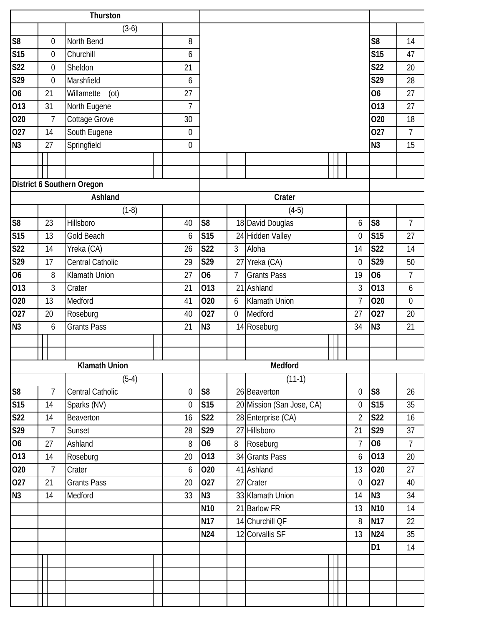|                        | Thurston |                  |                            |  |                |                 |                  |                           |                |                  |                |
|------------------------|----------|------------------|----------------------------|--|----------------|-----------------|------------------|---------------------------|----------------|------------------|----------------|
|                        |          |                  | $(3-6)$                    |  |                |                 |                  |                           |                |                  |                |
| S <sub>8</sub>         |          | $\mathbf 0$      | North Bend                 |  | 8              |                 |                  |                           |                | S <sub>8</sub>   | 14             |
| <b>S15</b>             |          | $\mathbf 0$      | Churchill                  |  | 6              |                 |                  |                           |                | <b>S15</b>       | 47             |
| <b>S22</b>             |          | $\boldsymbol{0}$ | Sheldon                    |  | 21             |                 |                  |                           |                | <b>S22</b>       | 20             |
| S29                    |          | $\boldsymbol{0}$ | Marshfield                 |  | 6              |                 |                  |                           |                | S29              | 28             |
| $\overline{06}$        |          | 21               | Willamette<br>(ot)         |  | 27             |                 |                  |                           |                | <b>O6</b>        | 27             |
| 013                    |          | 31               | North Eugene               |  | $\overline{7}$ |                 |                  |                           |                | $\overline{013}$ | 27             |
| 020                    |          | $\overline{7}$   | Cottage Grove              |  | 30             |                 |                  |                           |                | 020              | 18             |
| 027                    |          | 14               | South Eugene               |  | 0              |                 |                  |                           |                | 027              | 7              |
| $\overline{N3}$        |          | 27               | Springfield                |  | $\overline{0}$ |                 |                  |                           |                | <b>N3</b>        | 15             |
|                        |          |                  |                            |  |                |                 |                  |                           |                |                  |                |
|                        |          |                  |                            |  |                |                 |                  |                           |                |                  |                |
|                        |          |                  | District 6 Southern Oregon |  |                |                 |                  |                           |                |                  |                |
|                        |          |                  | Ashland                    |  |                |                 |                  | Crater                    |                |                  |                |
|                        |          |                  | $(1-8)$                    |  |                |                 |                  | $(4-5)$                   |                |                  |                |
| $\overline{\text{S8}}$ |          | 23               | Hillsboro                  |  | 40             | S <sub>8</sub>  |                  | 18 David Douglas          | 6              | S <sub>8</sub>   | $\overline{7}$ |
| S15                    |          | 13               | Gold Beach                 |  | 6              | <b>S15</b>      |                  | 24 Hidden Valley          | $\mathbf 0$    | <b>S15</b>       | 27             |
| <b>S22</b>             |          | 14               | Yreka (CA)                 |  | 26             | S <sub>22</sub> | $\mathfrak{Z}$   | Aloha                     | 14             | <b>S22</b>       | 14             |
| S29                    |          | 17               | <b>Central Catholic</b>    |  | 29             | S29             | 27               | Yreka (CA)                | $\mathbf 0$    | S29              | 50             |
| $\overline{06}$        |          | 8                | Klamath Union              |  |                |                 | $\overline{7}$   | <b>Grants Pass</b>        | 19             | 06               | 7              |
| $\overline{013}$       |          | $\mathfrak{Z}$   | Crater                     |  |                | 013             | 21               | Ashland                   | 3              | 013              | 6              |
| 020                    |          | 13               | Medford                    |  |                | 020             | 6                | <b>Klamath Union</b>      | $\overline{7}$ | 020              | $\mathbf 0$    |
| 027                    |          | 20               | Roseburg                   |  | 40             | 027             | $\boldsymbol{0}$ | Medford                   | 27             | 027              | 20             |
| N3                     |          | 6                | <b>Grants Pass</b>         |  | 21             | N <sub>3</sub>  |                  | 14 Roseburg               | 34             | N <sub>3</sub>   | 21             |
|                        |          |                  |                            |  |                |                 |                  |                           |                |                  |                |
|                        |          |                  |                            |  |                |                 |                  |                           |                |                  |                |
|                        |          |                  | <b>Klamath Union</b>       |  |                |                 |                  | Medford                   |                |                  |                |
|                        |          |                  | $(5-4)$                    |  |                |                 |                  | $(11-1)$                  |                |                  |                |
| $\overline{\text{S8}}$ |          | $\overline{7}$   | Central Catholic           |  | $\mathbf 0$    | S <sub>8</sub>  |                  | 26 Beaverton              | $\mathbf 0$    | S <sub>8</sub>   | 26             |
| S15                    |          | 14               | Sparks (NV)                |  | 0              | <b>S15</b>      |                  | 20 Mission (San Jose, CA) | $\mathbf 0$    | <b>S15</b>       | 35             |
| <b>S22</b>             |          | 14               | Beaverton                  |  | 16             | <b>S22</b>      |                  | 28 Enterprise (CA)        | $\overline{2}$ | <b>S22</b>       | 16             |
| S29                    |          | $\overline{7}$   | Sunset                     |  | 28             | S29             |                  | 27 Hillsboro              | 21             | S29              | 37             |
| 06                     |          | 27               | Ashland                    |  | 8              | <b>O6</b>       | 8                | Roseburg                  | $\overline{7}$ | O <sub>6</sub>   | $\overline{7}$ |
| 013                    |          | 14               | Roseburg                   |  | 20             | 013             |                  | 34 Grants Pass            | 6              | 013              | 20             |
| 020                    |          | $\overline{7}$   | Crater                     |  | 6              | 020             |                  | 41 Ashland                | 13             | 020              | 27             |
| 027                    |          | 21               | <b>Grants Pass</b>         |  | 20             | 027             |                  | 27 Crater                 | $\overline{0}$ | 027              | 40             |
| N <sub>3</sub>         |          | 14               | Medford                    |  | 33             | N <sub>3</sub>  |                  | 33 Klamath Union          | 14             | N <sub>3</sub>   | 34             |
|                        |          |                  |                            |  |                | N <sub>10</sub> |                  | 21 Barlow FR              | 13             | N <sub>10</sub>  | 14             |
|                        |          |                  |                            |  |                | <b>N17</b>      |                  | 14 Churchill QF           | 8              | <b>N17</b>       | 22             |
|                        |          |                  |                            |  |                | N24             |                  | 12 Corvallis SF           | 13             | <b>N24</b>       | 35             |
|                        |          |                  |                            |  |                |                 |                  |                           |                | D <sub>1</sub>   | 14             |
|                        |          |                  |                            |  |                |                 |                  |                           |                |                  |                |
|                        |          |                  |                            |  |                |                 |                  |                           |                |                  |                |
|                        |          |                  |                            |  |                |                 |                  |                           |                |                  |                |
|                        |          |                  |                            |  |                |                 |                  |                           |                |                  |                |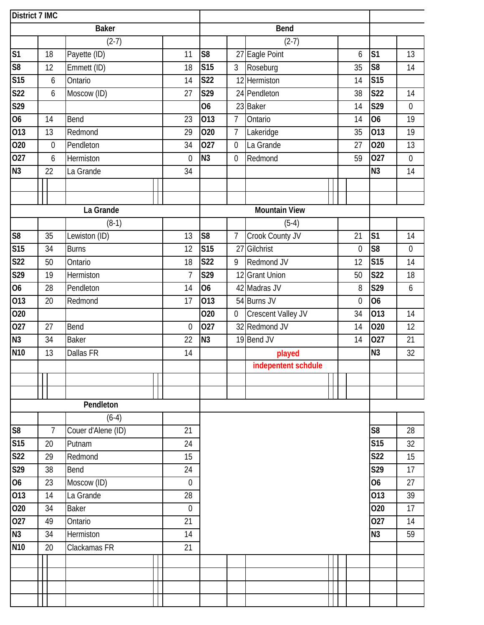|                        | <b>District 7 IMC</b> |                  |                    |  |              |                |                  |                           |  |             |                |                  |
|------------------------|-----------------------|------------------|--------------------|--|--------------|----------------|------------------|---------------------------|--|-------------|----------------|------------------|
|                        |                       |                  | <b>Baker</b>       |  |              |                |                  | <b>Bend</b>               |  |             |                |                  |
|                        |                       |                  | $(2-7)$            |  |              |                |                  | $(2-7)$                   |  |             |                |                  |
| S <sub>1</sub>         |                       | 18               | Payette (ID)       |  | 11           | S <sub>8</sub> |                  | 27 Eagle Point            |  | 6           | S <sub>1</sub> | 13               |
| $\overline{\text{S8}}$ |                       | 12               | Emmett (ID)        |  | 18           | <b>S15</b>     | $\mathfrak{Z}$   | Roseburg                  |  | 35          | S <sub>8</sub> | 14               |
| S15                    |                       | 6                | Ontario            |  | 14           | <b>S22</b>     |                  | 12 Hermiston              |  | 14          | <b>S15</b>     |                  |
| <b>S22</b>             |                       | $\boldsymbol{6}$ | Moscow (ID)        |  | 27           | S29            |                  | 24 Pendleton              |  | 38          | <b>S22</b>     | 14               |
| S29                    |                       |                  |                    |  |              | 06             |                  | 23 Baker                  |  | 14          | S29            | $\boldsymbol{0}$ |
| $\overline{06}$        |                       | 14               | Bend               |  | 23           | 013            | $\overline{7}$   | Ontario                   |  | 14          | 06             | 19               |
| $\overline{013}$       |                       | 13               | Redmond            |  | 29           | 020            | $\overline{7}$   | Lakeridge                 |  | 35          | 013            | 19               |
| 020                    |                       | $\boldsymbol{0}$ | Pendleton          |  | 34           | 027            | $\boldsymbol{0}$ | La Grande                 |  | 27          | 020            | 13               |
| 027                    |                       | 6                | Hermiston          |  | $\mathbf{0}$ | N <sub>3</sub> | $\mathbf 0$      | Redmond                   |  | 59          | 027            | $\boldsymbol{0}$ |
| N <sub>3</sub>         |                       | 22               | La Grande          |  | 34           |                |                  |                           |  |             | N <sub>3</sub> | 14               |
|                        |                       |                  |                    |  |              |                |                  |                           |  |             |                |                  |
|                        |                       |                  |                    |  |              |                |                  |                           |  |             |                |                  |
|                        |                       |                  | La Grande          |  |              |                |                  | <b>Mountain View</b>      |  |             |                |                  |
|                        |                       |                  | $(8-1)$            |  |              |                |                  | $(5-4)$                   |  |             |                |                  |
| S <sub>8</sub>         |                       | 35               | Lewiston (ID)      |  | 13           | S <sub>8</sub> | 7                | Crook County JV           |  | 21          | S <sub>1</sub> | 14               |
| <b>S15</b>             |                       | 34               | <b>Burns</b>       |  | 12           | <b>S15</b>     | 27               | Gilchrist                 |  | $\mathbf 0$ | S <sub>8</sub> | $\boldsymbol{0}$ |
| <b>S22</b>             |                       | 50               | Ontario            |  | 18           | <b>S22</b>     | 9                | Redmond JV                |  | 12          | <b>S15</b>     | 14               |
| S29                    |                       | 19               | Hermiston          |  |              |                | 12               | <b>Grant Union</b>        |  | 50          | <b>S22</b>     | 18               |
| $\overline{06}$        |                       | 28               | Pendleton          |  |              |                |                  | 42 Madras JV              |  | 8           | S29            | 6                |
| 013                    |                       | 20               | Redmond            |  |              |                |                  | 54 Burns JV               |  | $\mathbf 0$ | 06             |                  |
| 020                    |                       |                  |                    |  |              | 020            | $\overline{0}$   | <b>Crescent Valley JV</b> |  | 34          | 013            | 14               |
| 027                    |                       | 27               | Bend               |  | $\mathbf 0$  | 027            |                  | 32 Redmond JV             |  | 14          | 020            | 12               |
| N3                     |                       | 34               | <b>Baker</b>       |  | 22           | N <sub>3</sub> |                  | 19 Bend JV                |  | 14          | 027            | 21               |
| N <sub>10</sub>        |                       | 13               | Dallas FR          |  | 14           |                |                  | played                    |  |             | N <sub>3</sub> | 32               |
|                        |                       |                  |                    |  |              |                |                  | indepentent schdule       |  |             |                |                  |
|                        |                       |                  |                    |  |              |                |                  |                           |  |             |                |                  |
|                        |                       |                  |                    |  |              |                |                  |                           |  |             |                |                  |
|                        |                       |                  | Pendleton          |  |              |                |                  |                           |  |             |                |                  |
|                        |                       |                  | $(6-4)$            |  |              |                |                  |                           |  |             |                |                  |
| S8                     |                       | $\overline{7}$   | Couer d'Alene (ID) |  | 21           |                |                  |                           |  |             | S <sub>8</sub> | 28               |
| S15                    |                       | 20               | Putnam             |  | 24           |                |                  |                           |  |             | <b>S15</b>     | 32               |
| <b>S22</b>             |                       | 29               | Redmond            |  | 15           |                |                  |                           |  |             | <b>S22</b>     | 15               |
| S29                    |                       | 38               | Bend               |  | 24           |                |                  |                           |  |             | <b>S29</b>     | 17               |
| $\overline{06}$        |                       | 23               | Moscow (ID)        |  | $\mathbf 0$  |                |                  |                           |  |             | <b>O6</b>      | 27               |
| 013                    |                       | 14               | La Grande          |  | 28           |                |                  |                           |  |             | 013            | 39               |
| 020                    |                       | 34               | <b>Baker</b>       |  | $\mathbf 0$  |                |                  |                           |  |             | 020            | 17               |
| 027                    |                       | 49               | Ontario            |  | 21           |                |                  |                           |  |             | 027            | 14               |
| N3                     |                       | 34               | Hermiston          |  | 14           |                |                  |                           |  |             | N <sub>3</sub> | 59               |
| N <sub>10</sub>        |                       | 20               | Clackamas FR       |  | 21           |                |                  |                           |  |             |                |                  |
|                        |                       |                  |                    |  |              |                |                  |                           |  |             |                |                  |
|                        |                       |                  |                    |  |              |                |                  |                           |  |             |                |                  |
|                        |                       |                  |                    |  |              |                |                  |                           |  |             |                |                  |
|                        |                       |                  |                    |  |              |                |                  |                           |  |             |                |                  |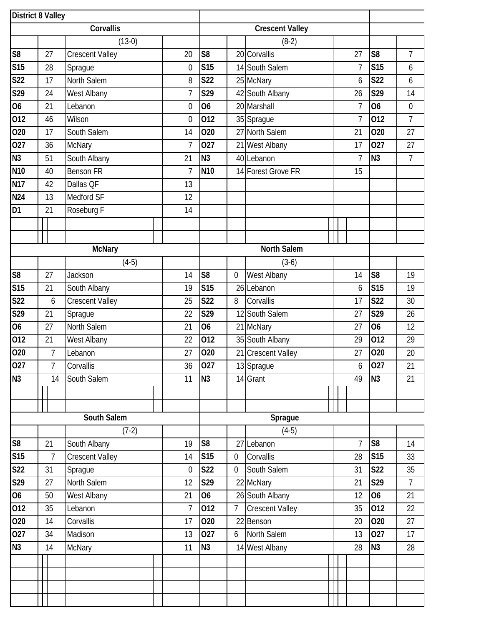|                 | <b>District 8 Valley</b> |                        |                |                  |                |                        |                |                  |                  |
|-----------------|--------------------------|------------------------|----------------|------------------|----------------|------------------------|----------------|------------------|------------------|
|                 |                          | Corvallis              |                |                  |                | <b>Crescent Valley</b> |                |                  |                  |
|                 |                          | $(13-0)$               |                |                  |                | $(8-2)$                |                |                  |                  |
| S <sub>8</sub>  | 27                       | <b>Crescent Valley</b> | 20             | S <sub>8</sub>   |                | 20 Corvallis           | 27             | S <sub>8</sub>   | $\overline{7}$   |
| S15             | 28                       | Sprague                | $\mathbf 0$    | <b>S15</b>       |                | 14 South Salem         | $\overline{7}$ | <b>S15</b>       | 6                |
| <b>S22</b>      | 17                       | North Salem            | 8              | <b>S22</b>       |                | 25 McNary              | 6              | <b>S22</b>       | 6                |
| S29             | 24                       | West Albany            | $\overline{1}$ | S29              |                | 42 South Albany        | 26             | S29              | 14               |
| <b>O6</b>       | 21                       | Lebanon                | $\overline{0}$ | 06               |                | 20 Marshall            | $\overline{1}$ | 06               | $\boldsymbol{0}$ |
| 012             | 46                       | Wilson                 | $\overline{0}$ | 012              |                | 35 Sprague             | $\overline{7}$ | 012              | $\overline{7}$   |
| 020             | 17                       | South Salem            | 14             | 020              | 27             | North Salem            | 21             | 020              | 27               |
| 027             | 36                       | McNary                 | $\overline{1}$ | 027              |                | 21 West Albany         | 17             | 027              | 27               |
| N3              | 51                       | South Albany           | 21             | N <sub>3</sub>   |                | 40 Lebanon             | $\overline{1}$ | N <sub>3</sub>   | $\overline{7}$   |
| N <sub>10</sub> | 40                       | <b>Benson FR</b>       | $\overline{1}$ | <b>N10</b>       |                | 14 Forest Grove FR     | 15             |                  |                  |
| <b>N17</b>      | 42                       | Dallas QF              | 13             |                  |                |                        |                |                  |                  |
| <b>N24</b>      | 13                       | Medford SF             | 12             |                  |                |                        |                |                  |                  |
| D <sub>1</sub>  | 21                       | Roseburg F             | 14             |                  |                |                        |                |                  |                  |
|                 |                          |                        |                |                  |                |                        |                |                  |                  |
|                 |                          |                        |                |                  |                |                        |                |                  |                  |
|                 |                          | <b>McNary</b>          |                |                  |                | North Salem            |                |                  |                  |
|                 |                          | $(4-5)$                |                |                  |                | $(3-6)$                |                |                  |                  |
| S <sub>8</sub>  | 27                       | Jackson                | 14             | S <sub>8</sub>   | 0              | West Albany            | 14             | S <sub>8</sub>   | 19               |
| S15             | 21                       | South Albany           | 19             | <b>S15</b>       |                | 26 Lebanon             | 6              | S15              | 19               |
| S <sub>22</sub> | 6                        | <b>Crescent Valley</b> | 25             | $\overline{S22}$ | 8              | Corvallis              | 17             | $\overline{S22}$ | 30               |
| S29             | 21                       | Sprague                | 22             | $\overline{529}$ | 12             | South Salem            | 27             | S29              | 26               |
| <b>O6</b>       | 27                       | North Salem            | 21             | <b>O6</b>        |                | 21 McNary              | 27             | <b>O6</b>        | 12               |
| 012             | 21                       | West Albany            | 22             | 012              |                | 35 South Albany        | 29             | 012              | 29               |
| 020             | $\overline{7}$           | Lebanon                | 27             | 020              |                | 21 Crescent Valley     | 27             | 020              | 20               |
| 027             | 7                        | Corvallis              | 36             | 027              |                | 13 Sprague             | 6              | 027              | 21               |
| N3              | 14                       | South Salem            | 11             | N3               |                | 14 Grant               | 49             | N3               | 21               |
|                 |                          |                        |                |                  |                |                        |                |                  |                  |
|                 |                          |                        |                |                  |                |                        |                |                  |                  |
|                 |                          | South Salem            |                |                  |                | Sprague                |                |                  |                  |
|                 |                          | $(7-2)$                |                |                  |                | $(4-5)$                |                |                  |                  |
| S <sub>8</sub>  | 21                       | South Albany           | 19             | S <sub>8</sub>   |                | 27 Lebanon             | $\overline{7}$ | S <sub>8</sub>   | 14               |
| <b>S15</b>      | $\overline{7}$           | <b>Crescent Valley</b> | 14             | <b>S15</b>       | $\overline{0}$ | Corvallis              | 28             | <b>S15</b>       | 33               |
| <b>S22</b>      | 31                       | Sprague                | $\mathbf 0$    | <b>S22</b>       | $\overline{0}$ | South Salem            | 31             | <b>S22</b>       | 35               |
| S29             | 27                       | North Salem            | 12             | S29              |                | 22 McNary              | 21             | S29              | 7                |
| 06              | 50                       | West Albany            | 21             | <b>O6</b>        |                | 26 South Albany        | 12             | O <sub>6</sub>   | 21               |
| 012             | 35                       | Lebanon                | $\overline{7}$ | 012              | $\overline{7}$ | <b>Crescent Valley</b> | 35             | 012              | 22               |
| 020             | 14                       | Corvallis              | 17             | 020              | 22             | Benson                 | 20             | 020              | 27               |
| 027             | 34                       | Madison                | 13             | 027              | 6              | North Salem            | 13             | 027              | 17               |
| <b>N3</b>       | 14                       | <b>McNary</b>          | 11             | N <sub>3</sub>   |                | 14 West Albany         | 28             | N3               | 28               |
|                 |                          |                        |                |                  |                |                        |                |                  |                  |
|                 |                          |                        |                |                  |                |                        |                |                  |                  |
|                 |                          |                        |                |                  |                |                        |                |                  |                  |
|                 |                          |                        |                |                  |                |                        |                |                  |                  |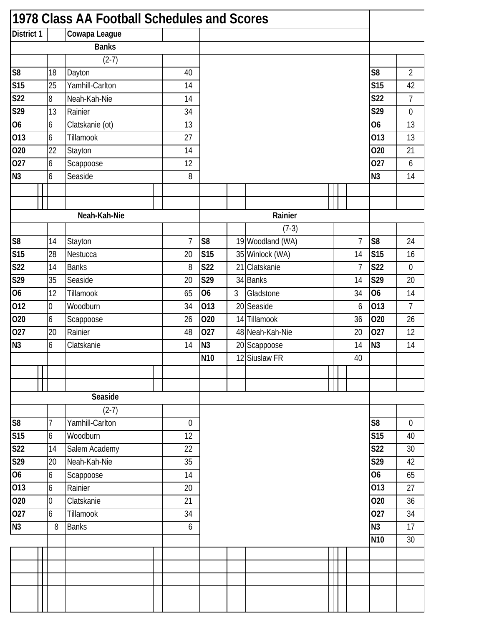| 1978 Class AA Football Schedules and Scores |                |                 |  |                |                |                |                  |  |                |                  |                |
|---------------------------------------------|----------------|-----------------|--|----------------|----------------|----------------|------------------|--|----------------|------------------|----------------|
| <b>District 1</b>                           |                | Cowapa League   |  |                |                |                |                  |  |                |                  |                |
|                                             |                | <b>Banks</b>    |  |                |                |                |                  |  |                |                  |                |
|                                             |                | $(2-7)$         |  |                |                |                |                  |  |                |                  |                |
| S <sub>8</sub>                              | 18             | Dayton          |  | 40             |                |                |                  |  |                | S <sub>8</sub>   | $\overline{2}$ |
| S15                                         | 25             | Yamhill-Carlton |  | 14             |                |                |                  |  |                | <b>S15</b>       | 42             |
| S <sub>22</sub>                             | 8              | Neah-Kah-Nie    |  | 14             |                |                |                  |  |                | $\overline{S22}$ | $\overline{7}$ |
| S29                                         | 13             | Rainier         |  | 34             |                |                |                  |  |                | $\overline{S29}$ | $\mathbf 0$    |
| 06                                          | 6              | Clatskanie (ot) |  | 13             |                |                |                  |  |                | 06               | 13             |
| 013                                         | 6              | Tillamook       |  | 27             |                |                |                  |  |                | 013              | 13             |
| 020                                         | 22             | Stayton         |  | 14             |                |                |                  |  |                | 020              | 21             |
| 027                                         | 6              | Scappoose       |  | 12             |                |                |                  |  |                | 027              | 6              |
| $\overline{N3}$                             | 6              | Seaside         |  | 8              |                |                |                  |  |                | N <sub>3</sub>   | 14             |
|                                             |                |                 |  |                |                |                |                  |  |                |                  |                |
|                                             |                |                 |  |                |                |                |                  |  |                |                  |                |
|                                             |                | Neah-Kah-Nie    |  |                |                |                | Rainier          |  |                |                  |                |
|                                             |                |                 |  |                |                |                | $(7-3)$          |  |                |                  |                |
| S <sub>8</sub>                              | 14             | Stayton         |  | $\overline{7}$ | S <sub>8</sub> |                | 19 Woodland (WA) |  | 7              | S <sub>8</sub>   | 24             |
| S15                                         | 28             | Nestucca        |  | 20             | <b>S15</b>     |                | 35 Winlock (WA)  |  | 14             | <b>S15</b>       | 16             |
| <b>S22</b>                                  | 14             | <b>Banks</b>    |  | 8              | <b>S22</b>     | 21             | Clatskanie       |  | $\overline{7}$ | <b>S22</b>       | $\mathbf 0$    |
| S29                                         | 35             | Seaside         |  | 20             | S29            |                | 34 Banks         |  | 14             | S29              | 20             |
| 06                                          | 12             | Tillamook       |  | 65             | 06             | $\mathfrak{Z}$ | Gladstone        |  | 34             | <b>O6</b>        | 14             |
| 012                                         | $\overline{0}$ | Woodburn        |  | 34             | 013            |                | 20 Seaside       |  | 6              | 013              | $\overline{7}$ |
| 020                                         | 6              | Scappoose       |  | 26             | 020            |                | 14 Tillamook     |  | 36             | 020              | 26             |
| 027                                         | 20             | Rainier         |  | 48             | 027            |                | 48 Neah-Kah-Nie  |  | 20             | 027              | 12             |
| N3                                          | 6              | Clatskanie      |  | 14             | N <sub>3</sub> |                | 20 Scappoose     |  | 14             | N <sub>3</sub>   | 14             |
|                                             |                |                 |  |                | <b>N10</b>     |                | 12 Siuslaw FR    |  | 40             |                  |                |
|                                             |                |                 |  |                |                |                |                  |  |                |                  |                |
|                                             |                |                 |  |                |                |                |                  |  |                |                  |                |
|                                             |                | Seaside         |  |                |                |                |                  |  |                |                  |                |
|                                             |                | $(2-7)$         |  |                |                |                |                  |  |                |                  |                |
| S <sub>8</sub>                              | 7              | Yamhill-Carlton |  | $\mathbf 0$    |                |                |                  |  |                | S <sub>8</sub>   | 0              |
| <b>S15</b>                                  | 6              | Woodburn        |  | 12             |                |                |                  |  |                | <b>S15</b>       | 40             |
| S <sub>22</sub>                             | 14             | Salem Academy   |  | 22             |                |                |                  |  |                | <b>S22</b>       | 30             |
| S29                                         | 20             | Neah-Kah-Nie    |  | 35             |                |                |                  |  |                | S29              | 42             |
| 06                                          | 6              | Scappoose       |  | 14             |                |                |                  |  |                | 06               | 65             |
| 013                                         | 6              | Rainier         |  | 20             |                |                |                  |  |                | 013              | 27             |
| 020                                         | $\overline{0}$ | Clatskanie      |  | 21             |                |                |                  |  |                | 020              | 36             |
| 027                                         | 6              | Tillamook       |  | 34             |                |                |                  |  |                | 027              | 34             |
| N3                                          | 8              | <b>Banks</b>    |  | 6              |                |                |                  |  |                | N <sub>3</sub>   | 17             |
|                                             |                |                 |  |                |                |                |                  |  |                | N <sub>10</sub>  | 30             |
|                                             |                |                 |  |                |                |                |                  |  |                |                  |                |
|                                             |                |                 |  |                |                |                |                  |  |                |                  |                |
|                                             |                |                 |  |                |                |                |                  |  |                |                  |                |
|                                             |                |                 |  |                |                |                |                  |  |                |                  |                |
|                                             |                |                 |  |                |                |                |                  |  |                |                  |                |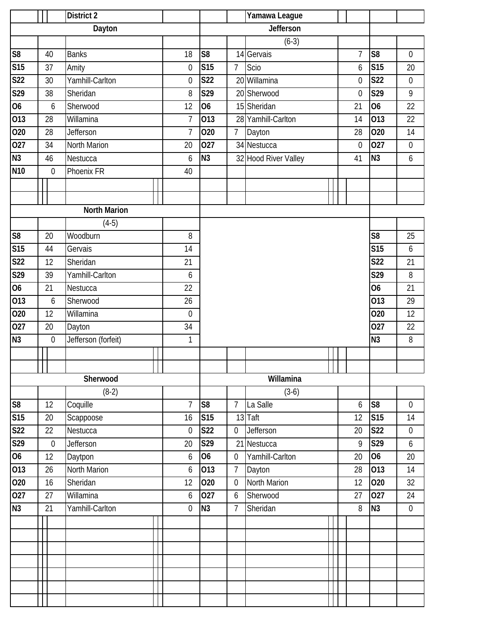|                         | <b>District 2</b> |                  |                     |    |                  |                |                  | Yamawa League        |                  |                |                  |
|-------------------------|-------------------|------------------|---------------------|----|------------------|----------------|------------------|----------------------|------------------|----------------|------------------|
|                         |                   |                  | Dayton              |    |                  |                |                  | <b>Jefferson</b>     |                  |                |                  |
|                         |                   |                  |                     |    |                  |                |                  | $(6-3)$              |                  |                |                  |
| S <sub>8</sub>          |                   | 40               | <b>Banks</b>        |    | 18               | S <sub>8</sub> |                  | 14 Gervais           | $\overline{7}$   | S <sub>8</sub> | $\mathbf 0$      |
| S15                     |                   | 37               | Amity               |    | $\boldsymbol{0}$ | <b>S15</b>     | $\overline{7}$   | Scio                 | 6                | S15            | 20               |
| <b>S22</b>              |                   | 30               | Yamhill-Carlton     |    | $\boldsymbol{0}$ | <b>S22</b>     |                  | 20 Willamina         | $\mathbf 0$      | <b>S22</b>     | $\boldsymbol{0}$ |
| $\overline{529}$        |                   | 38               | Sheridan            |    | 8                | S29            |                  | 20 Sherwood          | $\mathbf 0$      | S29            | $\mathsf{q}$     |
| $\overline{06}$         |                   | $\boldsymbol{6}$ | Sherwood            |    | 12               | 06             |                  | 15 Sheridan          | 21               | O <sub>6</sub> | 22               |
| 013                     |                   | 28               | Willamina           |    | $\overline{1}$   | 013            |                  | 28 Yamhill-Carlton   | 14               | 013            | 22               |
| 020                     |                   | 28               | <b>Jefferson</b>    |    | $\overline{1}$   | 020            | $\overline{7}$   | Dayton               | 28               | 020            | 14               |
| 027                     |                   | 34               | North Marion        |    | 20               | 027            |                  | 34 Nestucca          | $\boldsymbol{0}$ | 027            | $\boldsymbol{0}$ |
| N3                      |                   | 46               | Nestucca            |    | 6                | N <sub>3</sub> |                  | 32 Hood River Valley | 41               | N <sub>3</sub> | $\boldsymbol{6}$ |
| N <sub>10</sub>         |                   | $\boldsymbol{0}$ | Phoenix FR          |    | 40               |                |                  |                      |                  |                |                  |
|                         |                   |                  |                     |    |                  |                |                  |                      |                  |                |                  |
|                         |                   |                  |                     |    |                  |                |                  |                      |                  |                |                  |
|                         |                   |                  | <b>North Marion</b> |    |                  |                |                  |                      |                  |                |                  |
|                         |                   |                  | $(4-5)$             |    |                  |                |                  |                      |                  |                |                  |
| S8                      |                   | 20               | Woodburn            |    | 8                |                |                  |                      |                  | S <sub>8</sub> | 25               |
| <b>S15</b>              |                   | 44               | Gervais             |    | 14               |                |                  |                      |                  | <b>S15</b>     | 6                |
| <b>S22</b>              |                   | 12               | Sheridan            |    | 21               |                |                  |                      |                  | <b>S22</b>     | 21               |
| S29                     |                   | 39               | Yamhill-Carlton     | 6  |                  |                |                  |                      | S29              | 8              |                  |
| $\overline{06}$         |                   | 21               | Nestucca            | 22 |                  |                |                  |                      | $\overline{06}$  | 21             |                  |
| 013                     |                   | 6                | Sherwood            |    | 26               |                |                  |                      |                  | 013            | 29               |
| 020                     |                   | 12               | Willamina           |    | $\mathbf 0$      |                |                  |                      |                  | 020            | 12               |
| 027                     |                   | 20               | Dayton              |    | 34               |                |                  |                      |                  | 027            | 22               |
| N <sub>3</sub>          |                   | $\boldsymbol{0}$ | Jefferson (forfeit) |    | $\mathbf{1}$     |                |                  |                      |                  | N3             | 8                |
|                         |                   |                  |                     |    |                  |                |                  |                      |                  |                |                  |
|                         |                   |                  |                     |    |                  |                |                  |                      |                  |                |                  |
|                         |                   |                  | Sherwood            |    |                  |                |                  | Willamina            |                  |                |                  |
|                         |                   |                  | $(8-2)$             |    |                  |                |                  | $(3-6)$              |                  |                |                  |
| ${\sf S8}$              |                   | 12               | Coquille            |    | $\overline{1}$   | S <sub>8</sub> | $\overline{7}$   | La Salle             | 6                | S <sub>8</sub> | $\mathbf 0$      |
| <b>S15</b>              |                   | 20               | Scappoose           |    | 16               | <b>S15</b>     |                  | 13 Taft              | 12               | <b>S15</b>     | 14               |
| $\overline{\text{S}22}$ |                   | 22               | Nestucca            |    | $\boldsymbol{0}$ | <b>S22</b>     | $\boldsymbol{0}$ | Jefferson            | 20               | <b>S22</b>     | $\boldsymbol{0}$ |
| S <sub>29</sub>         |                   | $\boldsymbol{0}$ | Jefferson           |    | 20               | S29            | 21               | Nestucca             | 9                | S29            | 6                |
| 06                      |                   | 12               | Daytpon             |    | 6                | <b>O6</b>      | $\boldsymbol{0}$ | Yamhill-Carlton      | 20               | O <sub>6</sub> | 20               |
| 013                     |                   | 26               | North Marion        |    | 6                | 013            | $\overline{7}$   | Dayton               | 28               | 013            | 14               |
| 020                     |                   | 16               | Sheridan            |    | 12               | 020            | $\boldsymbol{0}$ | North Marion         | 12               | 020            | 32               |
| 027                     |                   | 27               | Willamina           |    | 6                | 027            | 6                | Sherwood             | 27               | 027            | 24               |
| N3                      |                   | 21               | Yamhill-Carlton     |    | $\overline{0}$   | N <sub>3</sub> | 7                | Sheridan             | 8                | N <sub>3</sub> | $\boldsymbol{0}$ |
|                         |                   |                  |                     |    |                  |                |                  |                      |                  |                |                  |
|                         |                   |                  |                     |    |                  |                |                  |                      |                  |                |                  |
|                         |                   |                  |                     |    |                  |                |                  |                      |                  |                |                  |
|                         |                   |                  |                     |    |                  |                |                  |                      |                  |                |                  |
|                         |                   |                  |                     |    |                  |                |                  |                      |                  |                |                  |
|                         |                   |                  |                     |    |                  |                |                  |                      |                  |                |                  |
|                         |                   |                  |                     |    |                  |                |                  |                      |                  |                |                  |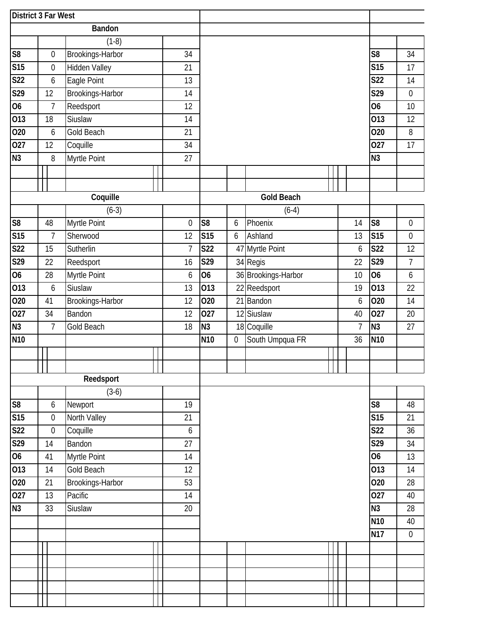| <b>District 3 Far West</b> |                  |                      |    |                |                  |                  |                     |  |    |                 |                  |
|----------------------------|------------------|----------------------|----|----------------|------------------|------------------|---------------------|--|----|-----------------|------------------|
|                            |                  | <b>Bandon</b>        |    |                |                  |                  |                     |  |    |                 |                  |
|                            |                  | $(1-8)$              |    |                |                  |                  |                     |  |    |                 |                  |
| ${\sf S8}$                 | $\boldsymbol{0}$ | Brookings-Harbor     | 34 |                |                  |                  |                     |  |    | S <sub>8</sub>  | 34               |
| S15                        | $\boldsymbol{0}$ | <b>Hidden Valley</b> | 21 |                |                  |                  |                     |  |    | <b>S15</b>      | 17               |
| <b>S22</b>                 | 6                | Eagle Point          | 13 |                |                  |                  |                     |  |    | <b>S22</b>      | 14               |
| S29                        | 12               | Brookings-Harbor     | 14 |                |                  |                  |                     |  |    | S29             | $\boldsymbol{0}$ |
| $\overline{06}$            | $\overline{7}$   | Reedsport            | 12 |                |                  |                  |                     |  |    | <b>O6</b>       | 10               |
| $\overline{013}$           | 18               | Siuslaw              | 14 |                |                  |                  |                     |  |    | 013             | 12               |
| 020                        | 6                | Gold Beach           | 21 |                |                  |                  |                     |  |    | 020             | 8                |
| 027                        | 12               | Coquille             | 34 |                |                  |                  |                     |  |    | 027             | 17               |
| N3                         | 8                | Myrtle Point         | 27 |                |                  |                  |                     |  |    | N3              |                  |
|                            |                  |                      |    |                |                  |                  |                     |  |    |                 |                  |
|                            |                  |                      |    |                |                  |                  |                     |  |    |                 |                  |
|                            |                  | Coquille             |    |                |                  |                  | <b>Gold Beach</b>   |  |    |                 |                  |
|                            |                  | $(6-3)$              |    |                |                  |                  | $(6-4)$             |  |    |                 |                  |
| ${\sf S8}$                 | 48               | Myrtle Point         |    | $\mathbf 0$    | S <sub>8</sub>   | 6                | Phoenix             |  | 14 | S <sub>8</sub>  | $\boldsymbol{0}$ |
| $\overline{\text{S15}}$    | $\overline{7}$   | Sherwood             | 12 |                | <b>S15</b>       | 6                | Ashland             |  | 13 | <b>S15</b>      | $\mathbf 0$      |
| <b>S22</b>                 | 15               | Sutherlin            |    | $\overline{1}$ | <b>S22</b>       |                  | 47 Myrtle Point     |  | 6  | <b>S22</b>      | 12               |
| S29                        | 22               | Reedsport            | 16 |                | S29              |                  | 34 Regis            |  | 22 | S29             | $\overline{7}$   |
| $\overline{06}$            | 28               | Myrtle Point         |    | 6              | 06               |                  | 36 Brookings-Harbor |  | 10 | 06              | 6                |
| $\overline{013}$           | $\boldsymbol{6}$ | Siuslaw              | 13 |                | $\overline{013}$ |                  | 22 Reedsport        |  | 19 | 013             | 22               |
| 020                        | 41               | Brookings-Harbor     | 12 |                | 020              |                  | 21 Bandon           |  | 6  | 020             | 14               |
| $\overline{027}$           | 34               | Bandon               | 12 |                | $\overline{027}$ |                  | 12 Siuslaw          |  | 40 | 027             | 20               |
| N3                         | $\overline{7}$   | Gold Beach           | 18 |                | N <sub>3</sub>   |                  | 18 Coquille         |  | 7  | N <sub>3</sub>  | 27               |
| N <sub>10</sub>            |                  |                      |    |                | N <sub>10</sub>  | $\boldsymbol{0}$ | South Umpqua FR     |  | 36 | N <sub>10</sub> |                  |
|                            |                  |                      |    |                |                  |                  |                     |  |    |                 |                  |
|                            |                  |                      |    |                |                  |                  |                     |  |    |                 |                  |
|                            |                  | Reedsport            |    |                |                  |                  |                     |  |    |                 |                  |
|                            |                  | $(3-6)$              |    |                |                  |                  |                     |  |    |                 |                  |
| S <sub>8</sub>             | $\boldsymbol{6}$ | Newport              | 19 |                |                  |                  |                     |  |    | S <sub>8</sub>  | 48               |
| <b>S15</b>                 | $\boldsymbol{0}$ | North Valley         | 21 |                |                  |                  |                     |  |    | <b>S15</b>      | 21               |
| <b>S22</b>                 | $\boldsymbol{0}$ | Coquille             |    | 6              |                  |                  |                     |  |    | <b>S22</b>      | 36               |
| S29                        | 14               | Bandon               | 27 |                |                  |                  |                     |  |    | S29             | 34               |
| 06                         | 41               | Myrtle Point         | 14 |                |                  |                  |                     |  |    | <b>O6</b>       | 13               |
| 013                        | 14               | Gold Beach           | 12 |                |                  |                  |                     |  |    | 013             | 14               |
| 020                        | 21               | Brookings-Harbor     | 53 |                |                  |                  |                     |  |    | 020             | 28               |
| 027                        | 13               | Pacific              | 14 |                |                  |                  |                     |  |    | 027             | 40               |
| N3                         | 33               | Siuslaw              | 20 |                |                  |                  |                     |  |    | N3              | 28               |
|                            |                  |                      |    |                |                  |                  |                     |  |    | N <sub>10</sub> | 40               |
|                            |                  |                      |    |                |                  |                  |                     |  |    | <b>N17</b>      | $\boldsymbol{0}$ |
|                            |                  |                      |    |                |                  |                  |                     |  |    |                 |                  |
|                            |                  |                      |    |                |                  |                  |                     |  |    |                 |                  |
|                            |                  |                      |    |                |                  |                  |                     |  |    |                 |                  |
|                            |                  |                      |    |                |                  |                  |                     |  |    |                 |                  |
|                            |                  |                      |    |                |                  |                  |                     |  |    |                 |                  |
|                            |                  |                      |    |                |                  |                  |                     |  |    |                 |                  |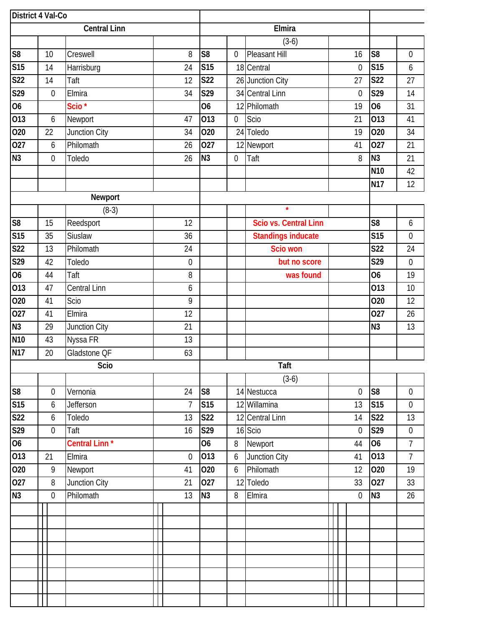| <b>District 4 Val-Co</b> |    |                  |                           |    |                |                |                  |                           |  |  |                  |                        |                  |
|--------------------------|----|------------------|---------------------------|----|----------------|----------------|------------------|---------------------------|--|--|------------------|------------------------|------------------|
|                          |    |                  | <b>Central Linn</b>       |    |                | Elmira         |                  |                           |  |  |                  |                        |                  |
|                          |    |                  |                           |    |                |                |                  | $(3-6)$                   |  |  |                  |                        |                  |
| S <sub>8</sub>           | 10 |                  | Creswell                  |    | 8              | S <sub>8</sub> | 0                | <b>Pleasant Hill</b>      |  |  | 16               | S <sub>8</sub>         | $\boldsymbol{0}$ |
| S15                      | 14 |                  | Harrisburg                | 24 |                | <b>S15</b>     |                  | 18 Central                |  |  | $\boldsymbol{0}$ | <b>S15</b>             | 6                |
| <b>S22</b>               | 14 |                  | Taft                      | 12 |                | <b>S22</b>     |                  | 26 Junction City          |  |  | 27               | <b>S22</b>             | 27               |
| S29                      |    | $\boldsymbol{0}$ | Elmira                    | 34 |                | S29            |                  | 34 Central Linn           |  |  | $\boldsymbol{0}$ | S29                    | 14               |
| $\overline{06}$          |    |                  | Scio <sup>*</sup>         |    |                | 06             | 12               | Philomath                 |  |  | 19               | 06                     | 31               |
| 013                      |    | 6                | Newport                   | 47 |                | 013            | $\boldsymbol{0}$ | Scio                      |  |  | 21               | 013                    | 41               |
| 020                      | 22 |                  | Junction City             | 34 |                | 020            |                  | 24 Toledo                 |  |  | 19               | 020                    | 34               |
| 027                      |    | 6                | Philomath                 | 26 |                | 027            |                  | 12 Newport                |  |  | 41               | 027                    | 21               |
| N3                       |    | $\mathbf 0$      | Toledo                    | 26 |                | N <sub>3</sub> | $\boldsymbol{0}$ | Taft                      |  |  | 8                | N <sub>3</sub>         | 21               |
|                          |    |                  |                           |    |                |                |                  |                           |  |  |                  | N <sub>10</sub>        | 42               |
|                          |    |                  |                           |    |                |                |                  |                           |  |  |                  | <b>N17</b>             | 12               |
|                          |    |                  | Newport                   |    |                |                |                  |                           |  |  |                  |                        |                  |
|                          |    |                  | $(8-3)$                   |    |                |                |                  | $\star$                   |  |  |                  |                        |                  |
| $\overline{\mathcal{S}}$ | 15 |                  | Reedsport                 | 12 |                |                |                  | Scio vs. Central Linn     |  |  |                  | S <sub>8</sub>         | 6                |
| S15                      | 35 |                  | Siuslaw                   | 36 |                |                |                  | <b>Standings inducate</b> |  |  |                  | <b>S15</b>             | $\boldsymbol{0}$ |
| <b>S22</b>               | 13 |                  | Philomath                 | 24 |                |                |                  | Scio won                  |  |  |                  | <b>S22</b>             | 24               |
| S29                      | 42 |                  | Toledo                    |    | $\mathbf 0$    |                |                  | but no score              |  |  |                  | S29                    | $\boldsymbol{0}$ |
| 06                       | 44 |                  | Taft                      |    | 8              |                |                  | was found                 |  |  |                  | <b>O6</b>              | 19               |
| 013                      | 47 |                  | <b>Central Linn</b>       |    | 6              |                |                  |                           |  |  |                  | $\overline{013}$       | 10               |
| 020                      | 41 |                  | Scio                      |    | 9              |                |                  |                           |  |  |                  | 020                    | 12               |
| 027                      | 41 |                  | Elmira                    | 12 |                |                |                  |                           |  |  |                  | 027                    | 26               |
| N3                       | 29 |                  | Junction City             | 21 |                |                |                  |                           |  |  |                  | N <sub>3</sub>         | 13               |
| <b>N10</b>               | 43 |                  | Nyssa FR                  | 13 |                |                |                  |                           |  |  |                  |                        |                  |
| <b>N17</b>               | 20 |                  | Gladstone QF              | 63 |                |                |                  |                           |  |  |                  |                        |                  |
|                          |    |                  | Scio                      |    |                |                |                  | Taft                      |  |  |                  |                        |                  |
|                          |    |                  |                           |    |                |                |                  | $(3-6)$                   |  |  |                  |                        |                  |
| $\overline{\text{S8}}$   |    | $\mathbf 0$      | Vernonia                  | 24 |                | S <sub>8</sub> |                  | 14 Nestucca               |  |  | $\mathbf 0$      | $\overline{\text{S8}}$ | $\boldsymbol{0}$ |
| S15                      |    | $\boldsymbol{6}$ | <b>Jefferson</b>          |    | $\overline{1}$ | S15            |                  | 12 Willamina              |  |  | 13               | <b>S15</b>             | $\boldsymbol{0}$ |
| <b>S22</b>               |    | 6                | Toledo                    | 13 |                | <b>S22</b>     |                  | 12 Central Linn           |  |  | 14               | <b>S22</b>             | 13               |
| S29                      |    | $\boldsymbol{0}$ | Taft                      | 16 |                | S29            |                  | 16 Scio                   |  |  | $\overline{0}$   | S29                    | $\boldsymbol{0}$ |
| 06                       |    |                  | Central Linn <sup>*</sup> |    |                | <b>O6</b>      | 8                | Newport                   |  |  | 44               | <b>O6</b>              | $\overline{7}$   |
| 013                      | 21 |                  | Elmira                    |    | $\mathbf 0$    | 013            | 6                | Junction City             |  |  | 41               | 013                    | $\overline{7}$   |
| 020                      |    | 9                | Newport                   | 41 |                | 020            | 6                | Philomath                 |  |  | 12               | 020                    | 19               |
| 027                      |    | 8                | Junction City             | 21 |                | 027            | 12               | Toledo                    |  |  | 33               | 027                    | 33               |
| N3                       |    | $\mathbf 0$      | Philomath                 | 13 |                | N <sub>3</sub> | 8                | Elmira                    |  |  | $\boldsymbol{0}$ | N <sub>3</sub>         | 26               |
|                          |    |                  |                           |    |                |                |                  |                           |  |  |                  |                        |                  |
|                          |    |                  |                           |    |                |                |                  |                           |  |  |                  |                        |                  |
|                          |    |                  |                           |    |                |                |                  |                           |  |  |                  |                        |                  |
|                          |    |                  |                           |    |                |                |                  |                           |  |  |                  |                        |                  |
|                          |    |                  |                           |    |                |                |                  |                           |  |  |                  |                        |                  |
|                          |    |                  |                           |    |                |                |                  |                           |  |  |                  |                        |                  |
|                          |    |                  |                           |    |                |                |                  |                           |  |  |                  |                        |                  |
|                          |    |                  |                           |    |                |                |                  |                           |  |  |                  |                        |                  |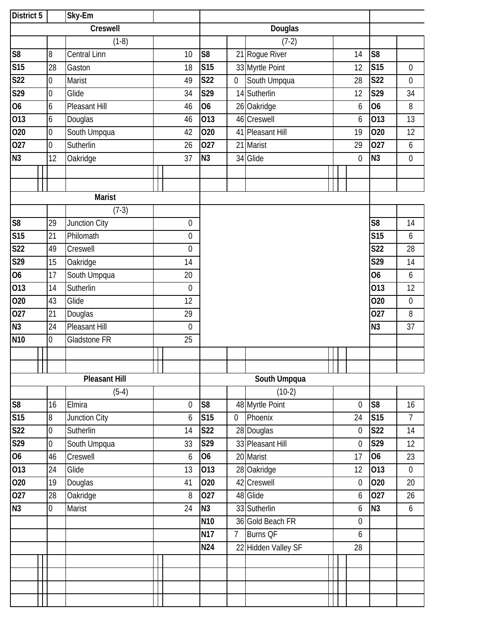| District 5              |                | $\overline{Sky}$ -Em |                  |                 |                |                     |  |                  |                 |                  |
|-------------------------|----------------|----------------------|------------------|-----------------|----------------|---------------------|--|------------------|-----------------|------------------|
|                         |                | Creswell             |                  | Douglas         |                |                     |  |                  |                 |                  |
|                         |                | $(1-8)$              |                  |                 |                | $(7-2)$             |  |                  |                 |                  |
| S <sub>8</sub>          | 8              | <b>Central Linn</b>  | 10               | S <sub>8</sub>  |                | 21 Rogue River      |  | 14               | S <sub>8</sub>  |                  |
| <b>S15</b>              | 28             | Gaston               | 18               | <b>S15</b>      |                | 33 Myrtle Point     |  | 12               | <b>S15</b>      | $\boldsymbol{0}$ |
| S22                     | $\overline{0}$ | Marist               | 49               | <b>S22</b>      | $\mathbf 0$    | South Umpqua        |  | 28               | <b>S22</b>      | 0                |
| S29                     | $\overline{0}$ | Glide                | 34               | S29             |                | 14 Sutherlin        |  | 12               | S29             | 34               |
| $\overline{06}$         | 6              | Pleasant Hill        | 46               | 06              |                | 26 Oakridge         |  | 6                | 06              | 8                |
| 013                     | 6              | Douglas              | 46               | 013             |                | 46 Creswell         |  | 6                | 013             | 13               |
| 020                     | $\overline{0}$ | South Umpqua         | 42               | 020             |                | 41 Pleasant Hill    |  | 19               | 020             | 12               |
| 027                     | $\overline{0}$ | Sutherlin            | 26               | 027             |                | 21 Marist           |  | 29               | 027             | 6                |
| N <sub>3</sub>          | 12             | Oakridge             | 37               | N <sub>3</sub>  |                | 34 Glide            |  | $\boldsymbol{0}$ | N <sub>3</sub>  | $\boldsymbol{0}$ |
|                         |                |                      |                  |                 |                |                     |  |                  |                 |                  |
|                         |                |                      |                  |                 |                |                     |  |                  |                 |                  |
|                         |                | Marist               |                  |                 |                |                     |  |                  |                 |                  |
|                         |                | $(7-3)$              |                  |                 |                |                     |  |                  |                 |                  |
| $\overline{\text{S8}}$  | 29             | Junction City        | $\boldsymbol{0}$ |                 |                |                     |  |                  | S <sub>8</sub>  | 14               |
| $\overline{\text{S15}}$ | 21             | Philomath            | $\boldsymbol{0}$ |                 |                |                     |  |                  | <b>S15</b>      | 6                |
| S22                     | 49             | Creswell             | $\overline{0}$   |                 |                |                     |  |                  | <b>S22</b>      | 28               |
| S29                     | 15             | Oakridge             | 14               |                 |                |                     |  |                  | S29             | 14               |
| $\overline{06}$         | 17             | South Umpqua         | 20               |                 |                |                     |  |                  | <b>O6</b>       | $\boldsymbol{6}$ |
| 013                     | 14             | Sutherlin            | $\mathbf 0$      |                 |                |                     |  |                  | 013             | 12               |
| 020                     | 43             | Glide                | 12               |                 |                |                     |  |                  | 020             | $\boldsymbol{0}$ |
| $\overline{027}$        | 21             | Douglas              | 29               |                 |                |                     |  |                  | 027             | 8                |
| N3                      | 24             | Pleasant Hill        | $\overline{0}$   |                 |                |                     |  |                  | N3              | 37               |
| N <sub>10</sub>         | $\overline{0}$ | Gladstone FR         | 25               |                 |                |                     |  |                  |                 |                  |
|                         |                |                      |                  |                 |                |                     |  |                  |                 |                  |
|                         |                |                      |                  |                 |                |                     |  |                  |                 |                  |
|                         |                | <b>Pleasant Hill</b> |                  |                 |                | South Umpqua        |  |                  |                 |                  |
|                         |                | $(5-4)$              |                  |                 |                | $(10-2)$            |  |                  |                 |                  |
| ${\sf S8}$              | 16             | Elmira               | $\overline{0}$   | S <sub>8</sub>  |                | 48 Myrtle Point     |  | $\mathbf 0$      | S <sub>8</sub>  | 16               |
| <b>S15</b>              | $8\,$          | Junction City        | 6                | <b>S15</b>      | $\mathbf 0$    | Phoenix             |  | 24               | S <sub>15</sub> | 7                |
| <b>S22</b>              | $\overline{0}$ | Sutherlin            | 14               | <b>S22</b>      |                | 28 Douglas          |  | $\boldsymbol{0}$ | <b>S22</b>      | 14               |
| S29                     | $\overline{0}$ | South Umpqua         | 33               | S29             |                | 33 Pleasant Hill    |  | $\boldsymbol{0}$ | S29             | 12               |
| 06                      | 46             | Creswell             | 6                | <b>O6</b>       |                | 20 Marist           |  | 17               | O <sub>6</sub>  | 23               |
| 013                     | 24             | Glide                | 13               | 013             |                | 28 Oakridge         |  | 12               | 013             | $\boldsymbol{0}$ |
| 020                     | 19             | Douglas              | 41               | 020             |                | 42 Creswell         |  | $\boldsymbol{0}$ | 020             | 20               |
| 027                     | 28             | Oakridge             | 8                | 027             |                | 48 Glide            |  | $\boldsymbol{6}$ | 027             | 26               |
| N3                      | $\overline{0}$ | Marist               | 24               | N <sub>3</sub>  |                | 33 Sutherlin        |  | 6                | N <sub>3</sub>  | $\boldsymbol{6}$ |
|                         |                |                      |                  | N <sub>10</sub> |                | 36 Gold Beach FR    |  | $\boldsymbol{0}$ |                 |                  |
|                         |                |                      |                  | <b>N17</b>      | 7 <sup>1</sup> | <b>Burns QF</b>     |  | 6                |                 |                  |
|                         |                |                      |                  | N24             |                | 22 Hidden Valley SF |  | 28               |                 |                  |
|                         |                |                      |                  |                 |                |                     |  |                  |                 |                  |
|                         |                |                      |                  |                 |                |                     |  |                  |                 |                  |
|                         |                |                      |                  |                 |                |                     |  |                  |                 |                  |
|                         |                |                      |                  |                 |                |                     |  |                  |                 |                  |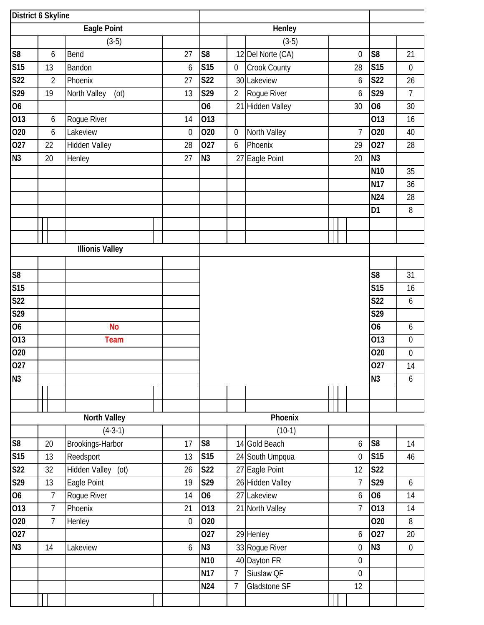| District 6 Skyline      |                  |                        |                  |                |                  |                      |  |                  |                 |                  |
|-------------------------|------------------|------------------------|------------------|----------------|------------------|----------------------|--|------------------|-----------------|------------------|
|                         |                  | <b>Eagle Point</b>     |                  |                |                  | Henley               |  |                  |                 |                  |
|                         |                  | $(3-5)$                |                  |                |                  | $(3-5)$              |  |                  |                 |                  |
| S8                      | 6                | Bend                   | 27               | S <sub>8</sub> |                  | 12 Del Norte (CA)    |  | $\mathbf 0$      | S <sub>8</sub>  | 21               |
| <b>S15</b>              | 13               | Bandon                 | 6                | <b>S15</b>     | $\boldsymbol{0}$ | Crook County         |  | 28               | <b>S15</b>      | $\boldsymbol{0}$ |
| <b>S22</b>              | $\overline{2}$   | Phoenix                | 27               | <b>S22</b>     |                  | 30 Lakeview          |  | 6                | <b>S22</b>      | 26               |
| $\overline{529}$        | 19               | North Valley<br>(ot)   | 13               | S29            | $\overline{2}$   | Rogue River          |  | 6                | S29             | $\overline{7}$   |
| $\overline{06}$         |                  |                        |                  | 06             | 21               | <b>Hidden Valley</b> |  | 30               | 06              | 30               |
| 013                     | 6                | Rogue River            | 14               | 013            |                  |                      |  |                  | 013             | 16               |
| 020                     | $\boldsymbol{6}$ | Lakeview               | $\mathbf{0}$     | 020            | 0                | North Valley         |  | $\overline{7}$   | 020             | 40               |
| 027                     | 22               | <b>Hidden Valley</b>   | 28               | 027            | $\boldsymbol{6}$ | Phoenix              |  | 29               | 027             | 28               |
| N3                      | 20               | Henley                 | 27               | N <sub>3</sub> |                  | 27 Eagle Point       |  | 20               | N <sub>3</sub>  |                  |
|                         |                  |                        |                  |                |                  |                      |  |                  | N <sub>10</sub> | 35               |
|                         |                  |                        |                  |                |                  |                      |  |                  | <b>N17</b>      | 36               |
|                         |                  |                        |                  |                |                  |                      |  |                  | <b>N24</b>      | 28               |
|                         |                  |                        |                  |                |                  |                      |  |                  | D <sub>1</sub>  | 8                |
|                         |                  |                        |                  |                |                  |                      |  |                  |                 |                  |
|                         |                  |                        |                  |                |                  |                      |  |                  |                 |                  |
|                         |                  | <b>Illionis Valley</b> |                  |                |                  |                      |  |                  |                 |                  |
|                         |                  |                        |                  |                |                  |                      |  |                  |                 |                  |
| S8                      |                  |                        |                  |                |                  |                      |  |                  | S <sub>8</sub>  | 31               |
| $\overline{\text{S15}}$ |                  |                        |                  |                |                  |                      |  |                  | S15             | 16               |
| <b>S22</b>              |                  |                        |                  |                |                  |                      |  |                  | S22             | $\boldsymbol{6}$ |
| S29                     |                  |                        |                  |                |                  |                      |  |                  | S29             |                  |
| 06                      |                  | <b>No</b>              |                  |                |                  |                      |  |                  | <b>O6</b>       | 6                |
| 013                     |                  | <b>Team</b>            |                  |                |                  |                      |  |                  | 013             | $\boldsymbol{0}$ |
| 020                     |                  |                        |                  |                |                  |                      |  |                  | 020             | $\boldsymbol{0}$ |
| 027                     |                  |                        |                  |                |                  |                      |  |                  | 027             | 14               |
| N3                      |                  |                        |                  |                |                  |                      |  |                  | N <sub>3</sub>  | 6                |
|                         |                  |                        |                  |                |                  |                      |  |                  |                 |                  |
|                         |                  |                        |                  |                |                  |                      |  |                  |                 |                  |
|                         |                  | <b>North Valley</b>    |                  |                |                  | Phoenix              |  |                  |                 |                  |
|                         |                  | $(4-3-1)$              |                  |                |                  | $(10-1)$             |  |                  |                 |                  |
| S8                      | 20               | Brookings-Harbor       | 17               | S <sub>8</sub> |                  | 14 Gold Beach        |  | 6                | S <sub>8</sub>  | 14               |
| <b>S15</b>              | 13               | Reedsport              | 13               | <b>S15</b>     |                  | 24 South Umpqua      |  | $\mathbf 0$      | <b>S15</b>      | 46               |
| <b>S22</b>              | 32               | Hidden Valley (ot)     | 26               | <b>S22</b>     |                  | 27 Eagle Point       |  | 12               | <b>S22</b>      |                  |
| S29                     | 13               | Eagle Point            | 19               | S29            |                  | 26 Hidden Valley     |  | 7                | S29             | 6                |
| $\overline{06}$         | $\overline{7}$   | Rogue River            | 14               | <b>O6</b>      |                  | 27 Lakeview          |  | $\boldsymbol{6}$ | 06              | 14               |
| 013                     | $\overline{7}$   | Phoenix                | 21               | 013            |                  | 21 North Valley      |  | $\overline{7}$   | 013             | 14               |
| 020                     | $\overline{7}$   | Henley                 | $\boldsymbol{0}$ | 020            |                  |                      |  |                  | 020             | 8                |
| $\overline{027}$        |                  |                        |                  | 027            |                  | 29 Henley            |  | $\boldsymbol{6}$ | 027             | 20               |
| N3                      | 14               | Lakeview               | 6                | N <sub>3</sub> |                  | 33 Rogue River       |  | $\boldsymbol{0}$ | N3              | $\boldsymbol{0}$ |
|                         |                  |                        |                  | <b>N10</b>     |                  | 40 Dayton FR         |  | $\mathbf 0$      |                 |                  |
|                         |                  |                        |                  | <b>N17</b>     | $7\overline{ }$  | Siuslaw QF           |  | $\mathbf 0$      |                 |                  |
|                         |                  |                        |                  | N24            | 7                | Gladstone SF         |  | 12               |                 |                  |
|                         |                  |                        |                  |                |                  |                      |  |                  |                 |                  |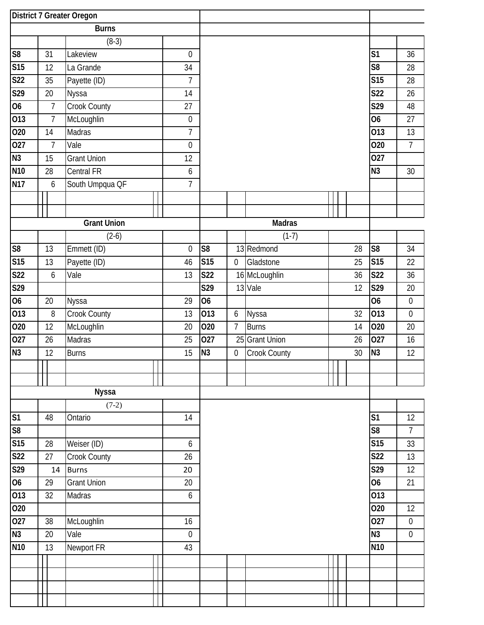|                         |                  | District 7 Greater Oregon |                  |                  |                  |                    |  |    |                        |                  |
|-------------------------|------------------|---------------------------|------------------|------------------|------------------|--------------------|--|----|------------------------|------------------|
|                         |                  | <b>Burns</b>              |                  |                  |                  |                    |  |    |                        |                  |
|                         |                  | $(8-3)$                   |                  |                  |                  |                    |  |    |                        |                  |
| S <sub>8</sub>          | 31               | Lakeview                  | 0                |                  |                  |                    |  |    | S <sub>1</sub>         | 36               |
| S15                     | 12               | La Grande                 | 34               |                  |                  |                    |  |    | $\overline{\text{S8}}$ | 28               |
| <b>S22</b>              | 35               | Payette (ID)              | $\overline{1}$   |                  |                  |                    |  |    | <b>S15</b>             | 28               |
| S29                     | 20               | Nyssa                     | 14               |                  |                  |                    |  |    | <b>S22</b>             | 26               |
| 06                      | $\overline{7}$   | Crook County              | 27               |                  |                  |                    |  |    | $\overline{S29}$       | 48               |
| 013                     | $\overline{7}$   | McLoughlin                | $\boldsymbol{0}$ |                  |                  |                    |  |    | 06                     | 27               |
| 020                     | 14               | Madras                    | $\overline{7}$   |                  |                  |                    |  |    | 013                    | 13               |
| 027                     | 7                | Vale                      | $\boldsymbol{0}$ |                  |                  |                    |  |    | 020                    | $\overline{7}$   |
| N3                      | 15               | <b>Grant Union</b>        | 12               |                  |                  |                    |  |    | 027                    |                  |
| N <sub>10</sub>         | 28               | Central FR                | 6                |                  |                  |                    |  |    | N <sub>3</sub>         | 30               |
| <b>N17</b>              | 6                | South Umpqua QF           | $\overline{7}$   |                  |                  |                    |  |    |                        |                  |
|                         |                  |                           |                  |                  |                  |                    |  |    |                        |                  |
|                         |                  |                           |                  |                  |                  |                    |  |    |                        |                  |
|                         |                  | <b>Grant Union</b>        |                  |                  |                  | <b>Madras</b>      |  |    |                        |                  |
|                         |                  | $(2-6)$                   |                  |                  |                  | $(1-7)$            |  |    |                        |                  |
| S <sub>8</sub>          | 13               | Emmett (ID)               | $\overline{0}$   | S <sub>8</sub>   |                  | 13 Redmond         |  | 28 | S <sub>8</sub>         | 34               |
| S15                     | 13               | Payette (ID)              | 46               | <b>S15</b>       | $\mathbf 0$      | Gladstone          |  | 25 | <b>S15</b>             | 22               |
| S <sub>22</sub>         | $\boldsymbol{6}$ | Vale                      | 13               | <b>S22</b>       |                  | 16 McLoughlin      |  | 36 | <b>S22</b>             | 36               |
| $\overline{\text{S29}}$ |                  |                           |                  | $\overline{S29}$ |                  | 13 Vale            |  | 12 | $\overline{S29}$       | $20\,$           |
| 06                      | $20\,$           | Nyssa                     | 29               | $\overline{06}$  |                  |                    |  |    | 06                     | $\boldsymbol{0}$ |
| 013                     | $\, 8$           | Crook County              | 13               | $\overline{013}$ | 6                | Nyssa              |  | 32 | 013                    | $\mathbf 0$      |
| 020                     | 12               | McLoughlin                | 20               | 020              | 7                | <b>Burns</b>       |  | 14 | 020                    | 20               |
| 027                     | 26               | <b>Madras</b>             | 25               | 027              | 25               | <b>Grant Union</b> |  | 26 | 027                    | 16               |
| N3                      | 12               | <b>Burns</b>              | 15               | N <sub>3</sub>   | $\boldsymbol{0}$ | Crook County       |  | 30 | N <sub>3</sub>         | 12               |
|                         |                  |                           |                  |                  |                  |                    |  |    |                        |                  |
|                         |                  |                           |                  |                  |                  |                    |  |    |                        |                  |
|                         |                  | <b>Nyssa</b>              |                  |                  |                  |                    |  |    |                        |                  |
|                         |                  | $(7-2)$                   |                  |                  |                  |                    |  |    |                        |                  |
| S <sub>1</sub>          | 48               | Ontario                   | 14               |                  |                  |                    |  |    | S <sub>1</sub>         | 12               |
| S8                      |                  |                           |                  |                  |                  |                    |  |    | S <sub>8</sub>         | 7                |
| S15                     | 28               | Weiser (ID)               | 6                |                  |                  |                    |  |    | <b>S15</b>             | 33               |
| <b>S22</b>              | 27               | Crook County              | 26               |                  |                  |                    |  |    | <b>S22</b>             | 13               |
| S29                     | 14               | <b>Burns</b>              | 20               |                  |                  |                    |  |    | S29                    | 12               |
| 06                      | 29               | <b>Grant Union</b>        | 20               |                  |                  |                    |  |    | <b>O6</b>              | 21               |
| 013                     | 32               | Madras                    | 6                |                  |                  |                    |  |    | 013                    |                  |
| 020                     |                  |                           |                  |                  |                  |                    |  |    | 020                    | 12               |
| 027                     | 38               | McLoughlin                | 16               |                  |                  |                    |  |    | 027                    | $\boldsymbol{0}$ |
| N3                      | 20               | Vale                      | $\boldsymbol{0}$ |                  |                  |                    |  |    | N <sub>3</sub>         | $\boldsymbol{0}$ |
| <b>N10</b>              | 13               | Newport FR                | 43               |                  |                  |                    |  |    | N <sub>10</sub>        |                  |
|                         |                  |                           |                  |                  |                  |                    |  |    |                        |                  |
|                         |                  |                           |                  |                  |                  |                    |  |    |                        |                  |
|                         |                  |                           |                  |                  |                  |                    |  |    |                        |                  |
|                         |                  |                           |                  |                  |                  |                    |  |    |                        |                  |
|                         |                  |                           |                  |                  |                  |                    |  |    |                        |                  |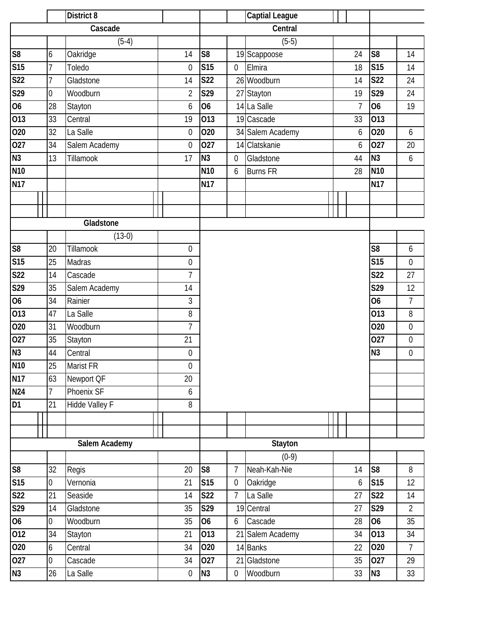|                         |                 | District 8     |                  |                 |                  | <b>Captial League</b> |                |                  |                  |
|-------------------------|-----------------|----------------|------------------|-----------------|------------------|-----------------------|----------------|------------------|------------------|
|                         |                 | Cascade        |                  |                 |                  | Central               |                |                  |                  |
|                         |                 | $(5-4)$        |                  |                 |                  | $(5-5)$               |                |                  |                  |
| S8                      | 6               | Oakridge       | 14               | S <sub>8</sub>  |                  | 19 Scappoose          | 24             | S <sub>8</sub>   | 14               |
| S15                     | $\overline{1}$  | Toledo         | $\mathbf 0$      | <b>S15</b>      | $\boldsymbol{0}$ | Elmira                | 18             | S15              | 14               |
| S <sub>22</sub>         | $\overline{7}$  | Gladstone      | 14               | <b>S22</b>      |                  | 26 Woodburn           | 14             | <b>S22</b>       | 24               |
| S29                     | $\overline{0}$  | Woodburn       | $\overline{2}$   | S29             |                  | 27 Stayton            | 19             | S29              | 24               |
| 06                      | 28              | Stayton        | 6                | <b>O6</b>       |                  | 14 La Salle           | $\overline{7}$ | <b>O6</b>        | 19               |
| 013                     | 33              | Central        | 19               | 013             |                  | 19 Cascade            | 33             | 013              |                  |
| 020                     | 32              | La Salle       | $\mathbf 0$      | 020             |                  | 34 Salem Academy      | 6              | 020              | $\boldsymbol{6}$ |
| 027                     | 34              | Salem Academy  | $\mathbf{0}$     | 027             | 14               | Clatskanie            | 6              | 027              | 20               |
| N3                      | 13              | Tillamook      | 17               | N3              | 0                | Gladstone             | 44             | N3               | $\boldsymbol{6}$ |
| N <sub>10</sub>         |                 |                |                  | N <sub>10</sub> | 6                | <b>Burns FR</b>       | 28             | <b>N10</b>       |                  |
| <b>N17</b>              |                 |                |                  | <b>N17</b>      |                  |                       |                | <b>N17</b>       |                  |
|                         |                 |                |                  |                 |                  |                       |                |                  |                  |
|                         |                 |                |                  |                 |                  |                       |                |                  |                  |
|                         |                 | Gladstone      |                  |                 |                  |                       |                |                  |                  |
|                         |                 | $(13-0)$       |                  |                 |                  |                       |                |                  |                  |
| S <sub>8</sub>          | 20              | Tillamook      | 0                |                 |                  |                       |                | S <sub>8</sub>   | 6                |
| S15                     | 25              | Madras         | $\boldsymbol{0}$ |                 |                  |                       |                | <b>S15</b>       | $\mathbf 0$      |
| S <sub>22</sub>         | 14              | Cascade        | $\overline{1}$   |                 |                  |                       |                | <b>S22</b>       | 27               |
| S29                     | 35              | Salem Academy  | 14               |                 |                  |                       |                | $\overline{S29}$ | 12               |
| 06                      | 34              | Rainier        | 3                |                 |                  |                       |                | <b>O6</b>        | $\overline{7}$   |
| 013                     | 47              | La Salle       | 8                |                 |                  |                       |                | 013              | $\, 8$           |
| 020                     | 31              | Woodburn       | $\overline{7}$   |                 |                  |                       |                | 020              | $\boldsymbol{0}$ |
| 027                     | 35              | Stayton        | 21               |                 |                  |                       |                | 027              | $\boldsymbol{0}$ |
| N3                      | 44              | Central        | $\boldsymbol{0}$ |                 |                  |                       |                | N <sub>3</sub>   | $\boldsymbol{0}$ |
| N <sub>10</sub>         | $\overline{25}$ | Marist FR      | $\boldsymbol{0}$ |                 |                  |                       |                |                  |                  |
| <b>N17</b>              | 63              | Newport QF     | 20               |                 |                  |                       |                |                  |                  |
| <b>N24</b>              | 7               | Phoenix SF     | 6                |                 |                  |                       |                |                  |                  |
| D <sub>1</sub>          | 21              | Hidde Valley F | 8                |                 |                  |                       |                |                  |                  |
|                         |                 |                |                  |                 |                  |                       |                |                  |                  |
|                         |                 |                |                  |                 |                  |                       |                |                  |                  |
|                         |                 | Salem Academy  |                  |                 |                  | <b>Stayton</b>        |                |                  |                  |
|                         |                 |                |                  |                 |                  | $(0-9)$               |                |                  |                  |
| S8                      | 32              | Regis          | 20               | S <sub>8</sub>  | $\overline{1}$   | Neah-Kah-Nie          | 14             | S <sub>8</sub>   | 8                |
| $\overline{\text{S15}}$ | $\overline{0}$  | Vernonia       | 21               | S15             | $\boldsymbol{0}$ | Oakridge              | 6              | S15              | 12               |
| S <sub>22</sub>         | 21              | Seaside        | 14               | S22             | $\overline{7}$   | La Salle              | 27             | <b>S22</b>       | 14               |
| S <sub>29</sub>         | 14              | Gladstone      | 35               | S29             | 19               | Central               | 27             | S29              | $\overline{2}$   |
| <b>O6</b>               | 0               | Woodburn       | 35               | <b>O6</b>       | 6                | Cascade               | 28             | <b>O6</b>        | 35               |
| 012                     | 34              | Stayton        | 21               | 013             |                  | 21 Salem Academy      | 34             | 013              | 34               |
| 020                     | 6               | Central        | 34               | 020             |                  | 14 Banks              | 22             | 020              | $\overline{7}$   |
| 027                     | 0               | Cascade        | 34               | 027             | 21               | Gladstone             | 35             | 027              | 29               |
| N3                      | 26              | La Salle       | $\mathbf 0$      | N3              | $\mathbf 0$      | Woodburn              | 33             | N <sub>3</sub>   | 33               |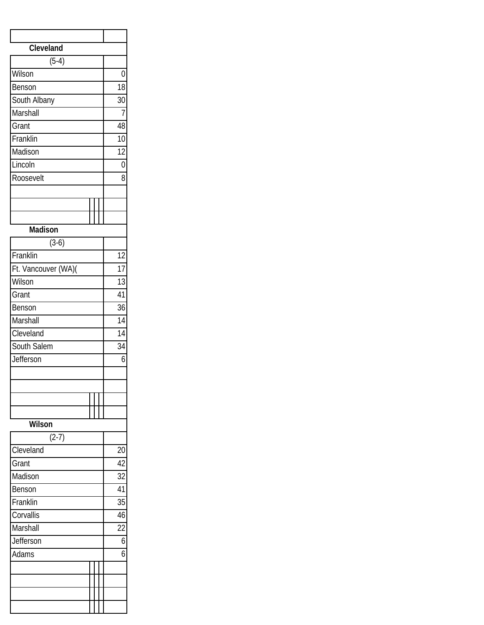| Cleveland           |                 |
|---------------------|-----------------|
| $(5-4)$             |                 |
| Wilson              | $\overline{0}$  |
| Benson              | $\overline{18}$ |
| South Albany        | 30              |
| Marshall            | 7               |
| Grant               | 48              |
| Franklin            | 10              |
| Madison             | $\overline{12}$ |
| Lincoln             | $\overline{0}$  |
| Roosevelt           | $\overline{8}$  |
|                     |                 |
|                     |                 |
|                     |                 |
| Madison             |                 |
| $(3-6)$             |                 |
| Franklin            | $\overline{12}$ |
| Ft. Vancouver (WA)( | $\overline{17}$ |
| Wilson              | $\overline{13}$ |
| Grant               | 41              |
| Benson              | 36              |
| Marshall            | 14              |
| Cleveland           | 14              |
| South Salem         | _<br>34         |
| Jefferson           | 6               |
|                     |                 |
|                     |                 |
|                     |                 |
|                     |                 |
| Wilson              |                 |
| $(2-7)$             |                 |
| Cleveland           | 20              |
| Grant               | 42              |
| Madison             | 32              |
| Benson              | 41              |
| Franklin            | 35              |
| Corvallis           | 46              |
| Marshall            | $\overline{22}$ |
| Jefferson           | $\overline{6}$  |
| Adams               | 6               |
|                     |                 |
|                     |                 |
|                     |                 |
|                     |                 |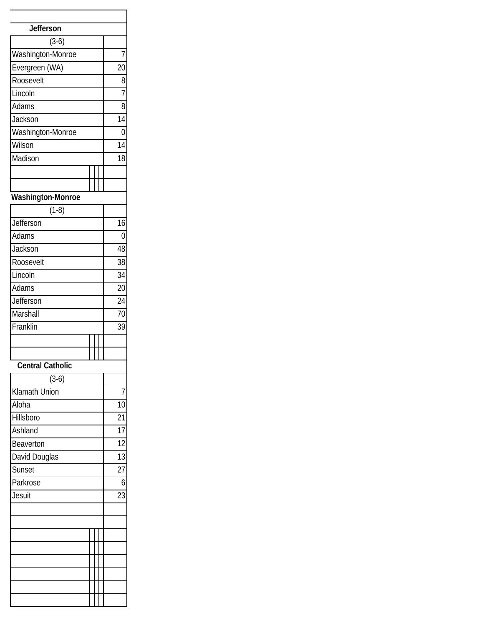| <b>Jefferson</b>  |                 |
|-------------------|-----------------|
| $(3-6)$           |                 |
| Washington-Monroe | 7               |
| Evergreen (WA)    | 20              |
| Roosevelt         | 8               |
| Lincoln           | 7               |
| Adams             | 8               |
| Jackson           | 14              |
| Washington-Monroe | 0               |
| Wilson            | 14              |
| Madison           | 18              |
|                   |                 |
|                   |                 |
| Washington-Monroe |                 |
| $(1-8)$           |                 |
| Jefferson         | 16              |
| Adams             | 0               |
| Jackson           | 48              |
| Roosevelt         | 38              |
| Lincoln           | 34              |
| Adams             | $\overline{20}$ |
| Jefferson         | 24              |
| Marshall          | 70              |
| Franklin          | 39              |
|                   |                 |
|                   |                 |
| Central Catholic  |                 |
| $(3-6)$           |                 |
| Klamath Union     | 7               |
| Aloha             | 10              |
| Hillsboro         | 21              |
| Ashland           | 17              |
| Beaverton         | $\overline{12}$ |
| David Douglas     | 13              |
| Sunset            | 27              |
| Parkrose          | 6               |
| Jesuit            | 23              |
|                   |                 |
|                   |                 |
|                   |                 |
|                   |                 |
|                   |                 |
|                   |                 |
|                   |                 |
|                   |                 |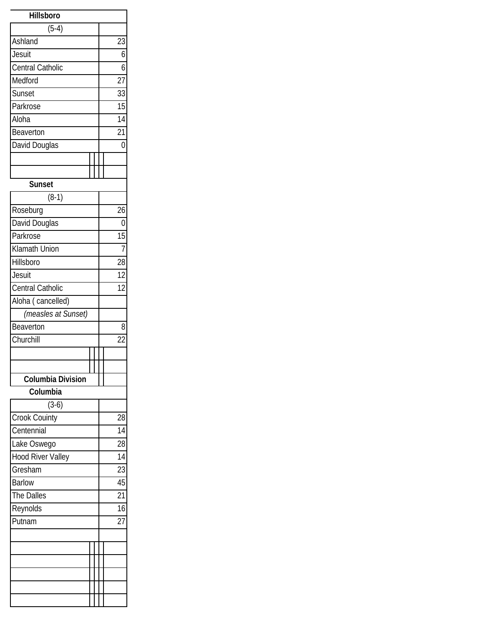| <b>Hillsboro</b>         |                 |
|--------------------------|-----------------|
| $(5-4)$                  |                 |
| Ashland                  | 23              |
| Jesuit                   | 6               |
| <b>Central Catholic</b>  | 6               |
| Medford                  | $\overline{27}$ |
| Sunset                   | 33              |
| Parkrose                 | 15              |
| Aloha                    | 14              |
| Beaverton                | $\overline{21}$ |
| David Douglas            | 0               |
|                          |                 |
|                          |                 |
| <b>Sunset</b>            |                 |
| $(8-1)$                  |                 |
| Roseburg                 | 26              |
| David Douglas            | 0               |
| Parkrose                 | 15              |
| Klamath Union            | 7               |
| Hillsboro                | 28              |
| Jesuit                   | $\overline{12}$ |
| Central Catholic         | $\overline{12}$ |
| Aloha (cancelled)        |                 |
| (measles at Sunset)      |                 |
| Beaverton                | 8               |
| Churchill                | 22              |
|                          |                 |
|                          |                 |
| <b>Columbia Division</b> |                 |
| Columbia                 |                 |
| $(3-6)$                  |                 |
| Crook Couinty            | 28              |
| Centennial               | 14              |
| Lake Oswego              | 28              |
| <b>Hood River Valley</b> | 14              |
| Gresham                  | 23              |
| <b>Barlow</b>            | 45              |
| The Dalles               | 21              |
| Reynolds                 | 16              |
| Putnam                   | $\overline{27}$ |
|                          |                 |
|                          |                 |
|                          |                 |
|                          |                 |
|                          |                 |
|                          |                 |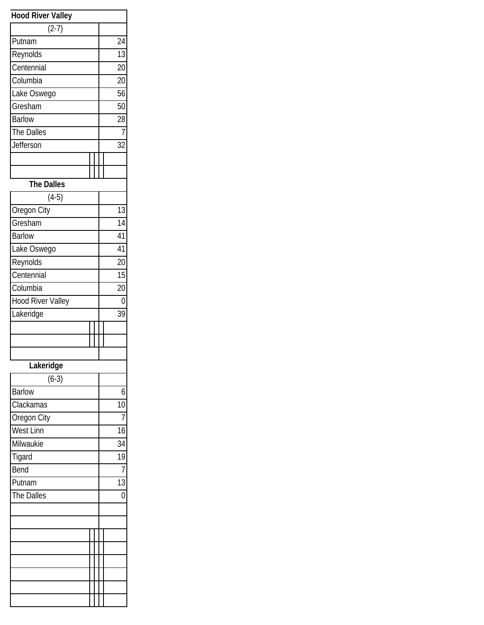| <b>Hood River Valley</b> |                 |
|--------------------------|-----------------|
| $(2-7)$                  |                 |
| Putnam                   | $\overline{24}$ |
| Reynolds                 | 13              |
| Centennial               | $\overline{20}$ |
| Columbia                 | 20              |
| Lake Oswego              | 56              |
| Gresham                  | 50              |
| Barlow                   | 28              |
| The Dalles               | 7               |
| Jefferson                | 32              |
|                          |                 |
|                          |                 |
| <b>The Dalles</b>        |                 |
| $(4-5)$                  |                 |
| Oregon City              | 13              |
| Gresham                  | $\overline{14}$ |
| <b>Barlow</b>            | $\overline{41}$ |
| Lake Oswego              | 41              |
| Reynolds                 | 20              |
| Centennial               | 15              |
| Columbia                 | $\overline{20}$ |
| Hood River Valley        | $\overline{0}$  |
| Lakeridge                | 39              |
|                          |                 |
|                          |                 |
|                          |                 |
| Lakeridge                |                 |
| $(6-3)$                  |                 |
| <b>Barlow</b>            | 6               |
| Clackamas                | 10              |
| Oregon City              |                 |
| West Linn                | 16              |
| Milwaukie                | 34              |
| Tigard                   | 19              |
| Bend                     | 7               |
| Putnam                   | 13              |
| The Dalles               | 0               |
|                          |                 |
|                          |                 |
|                          |                 |
|                          |                 |
|                          |                 |
|                          |                 |
|                          |                 |
|                          |                 |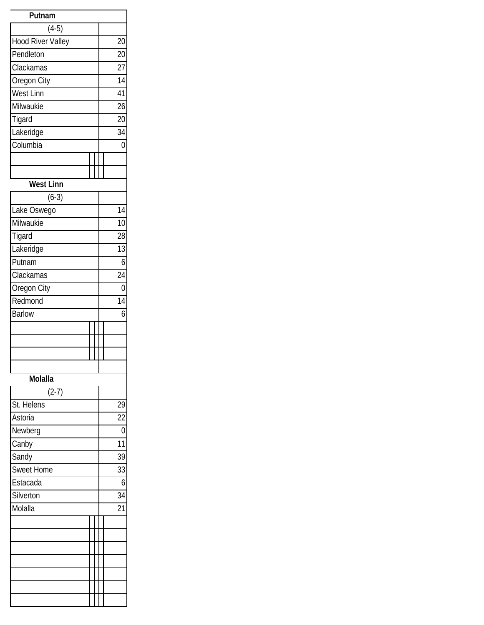| Putnam            |                 |
|-------------------|-----------------|
| $(4-5)$           |                 |
| Hood River Valley | $\overline{20}$ |
| Pendleton         | 20              |
| Clackamas         | 27              |
| Oregon City       | $\overline{14}$ |
| <b>West Linn</b>  | $\overline{41}$ |
| Milwaukie         | 26              |
| Tigard            | 20              |
| Lakeridge         | 34              |
| Columbia          | 0               |
|                   |                 |
|                   |                 |
| <b>West Linn</b>  |                 |
| $(6-3)$           |                 |
| Lake Oswego       | 14              |
| Milwaukie         | $\overline{10}$ |
| Tigard            | 28              |
| Lakeridge         | 13              |
| Putnam            | 6               |
| Clackamas         | 24              |
| Oregon City       | 0               |
| Redmond           | 14              |
| <b>Barlow</b>     | 6               |
|                   |                 |
|                   |                 |
|                   |                 |
|                   |                 |
| <b>Molalla</b>    |                 |
| $(2-7)$           |                 |
| St. Helens        | 29              |
| Astoria           | 22              |
| Newberg           | 0               |
| Canby             | 11              |
| Sandy             | 39              |
| <b>Sweet Home</b> | 33              |
| Estacada          | 6               |
| Silverton         | 34              |
| Molalla           | 21              |
|                   |                 |
|                   |                 |
|                   |                 |
|                   |                 |
|                   |                 |
|                   |                 |
|                   |                 |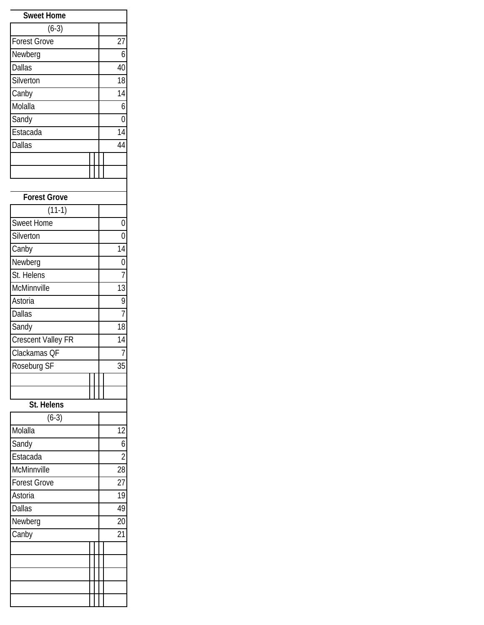| <b>Sweet Home</b>   |    |
|---------------------|----|
| $(6-3)$             |    |
| <b>Forest Grove</b> | 27 |
| Newberg             | 6  |
| <b>Dallas</b>       | 40 |
| Silverton           | 18 |
| Canby               | 14 |
| Molalla             | 6  |
| Sandy               | Ⴖ  |
| Estacada            | 14 |
| <b>Dallas</b>       | 44 |
|                     |    |
|                     |    |

| <b>Forest Grove</b> |                 |
|---------------------|-----------------|
| $(11-1)$            |                 |
| <b>Sweet Home</b>   | 0               |
| Silverton           | 0               |
| Canby               | 14              |
| Newberg             | 0               |
| St. Helens          | 7               |
| McMinnville         | 13              |
| Astoria             | 9               |
| <b>Dallas</b>       | 7               |
| Sandy               | 18              |
| Crescent Valley FR  | 14              |
| Clackamas QF        | 7               |
| Roseburg SF         | 35              |
|                     |                 |
|                     |                 |
| St. Helens          |                 |
| $(6-3)$             |                 |
| Molalla             | $\overline{12}$ |
| Sandy               | 6               |
| Estacada            | $\overline{2}$  |
| McMinnville         | 28              |
| <b>Forest Grove</b> | 27              |
| Astoria             | 19              |
| <b>Dallas</b>       | 49              |
| Newberg             | 20              |
| Canby               | 21              |
|                     |                 |
|                     |                 |
|                     |                 |
|                     |                 |
|                     |                 |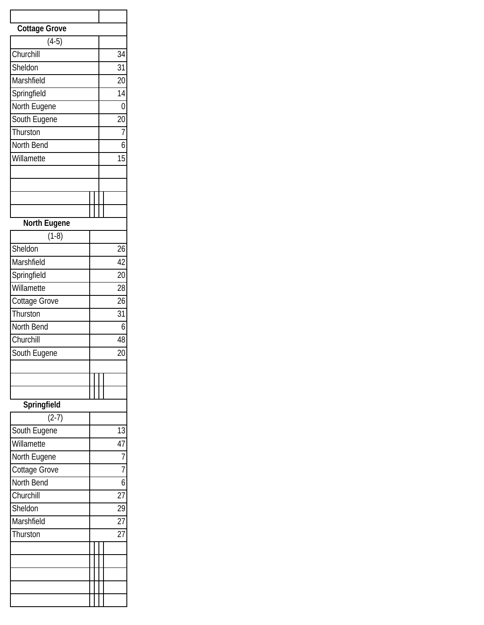| <b>Cottage Grove</b> |  |    |                 |
|----------------------|--|----|-----------------|
| $(4-5)$              |  |    |                 |
| Churchill            |  |    | 34              |
| Sheldon              |  |    | _<br>31         |
| Marshfield           |  |    | 20              |
| Springfield          |  |    | 14              |
| North Eugene         |  |    | 0               |
| South Eugene         |  |    | $\overline{20}$ |
| Thurston             |  |    | 7               |
| North Bend           |  |    | 6               |
| Willamette           |  | 15 |                 |
|                      |  |    |                 |
|                      |  |    |                 |
|                      |  |    |                 |
|                      |  |    |                 |
| North Eugene         |  |    |                 |
| $(1-8)$              |  |    |                 |
| Sheldon              |  |    | 26              |
| Marshfield           |  |    | 42              |
| Springfield          |  |    | $\overline{20}$ |
| Willamette           |  |    | 28              |
| Cottage Grove        |  |    | 26              |
| Thurston             |  |    | 31              |
| North Bend           |  |    | 6               |
| Churchill            |  |    | 48              |
| South Eugene         |  |    | 20              |
|                      |  |    |                 |
|                      |  |    |                 |
|                      |  |    |                 |
| Springfield          |  |    |                 |
| $(2-7)$              |  |    |                 |
| South Eugene         |  |    | 13              |
| Willamette           |  |    | 47              |
| North Eugene         |  |    | 7               |
| Cottage Grove        |  |    | 7               |
| North Bend           |  |    | 6               |
| Churchill            |  |    | 27              |
| Sheldon              |  |    | $\overline{29}$ |
| Marshfield           |  |    | 27              |
| Thurston             |  |    | 27              |
|                      |  |    |                 |
|                      |  |    |                 |
|                      |  |    |                 |
|                      |  |    |                 |
|                      |  |    |                 |
|                      |  |    |                 |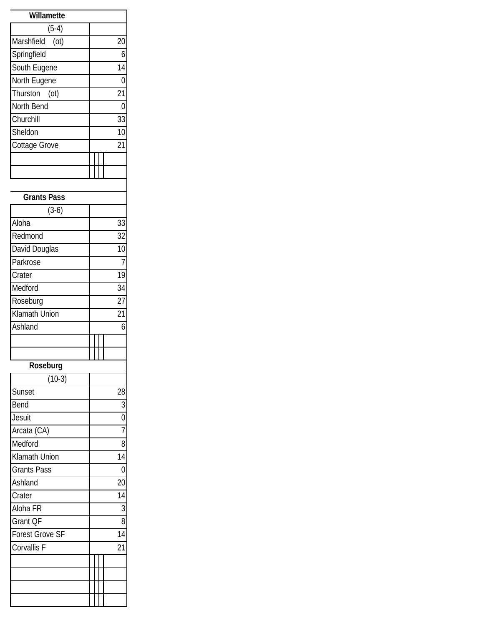| Willamette         |    |
|--------------------|----|
| $(5-4)$            |    |
| Marshfield<br>(ot) | 20 |
| Springfield        | 6  |
| South Eugene       | 14 |
| North Eugene       | N  |
| Thurston (ot)      | 21 |
| North Bend         | N  |
| Churchill          | 33 |
| Sheldon            | 10 |
| Cottage Grove      | 21 |
|                    |    |
|                    |    |

| <b>Grants Pass</b>     |  |                 |
|------------------------|--|-----------------|
| $(3-6)$                |  |                 |
| Aloha                  |  | 33              |
| Redmond                |  | $\overline{3}2$ |
| David Douglas          |  | 10              |
| Parkrose               |  | 7               |
| Crater                 |  | 19              |
| Medford                |  | 34              |
| Roseburg               |  | $\overline{27}$ |
| <b>Klamath Union</b>   |  | 21              |
| Ashland                |  | 6               |
|                        |  |                 |
|                        |  |                 |
| Roseburg               |  |                 |
| $(10-3)$               |  |                 |
| Sunset                 |  | $\overline{28}$ |
| Bend                   |  | 3               |
| Jesuit                 |  | $\overline{0}$  |
| Arcata (CA)            |  | 7               |
| Medford                |  | 8               |
| Klamath Union          |  | $\overline{14}$ |
| <b>Grants Pass</b>     |  | $\overline{0}$  |
| Ashland                |  | $\overline{20}$ |
| Crater                 |  | $\overline{14}$ |
| Aloha FR               |  | 3               |
| Grant QF               |  | 8               |
| <b>Forest Grove SF</b> |  | $\overline{14}$ |
| Corvallis F            |  | 21              |
|                        |  |                 |
|                        |  |                 |
|                        |  |                 |
|                        |  |                 |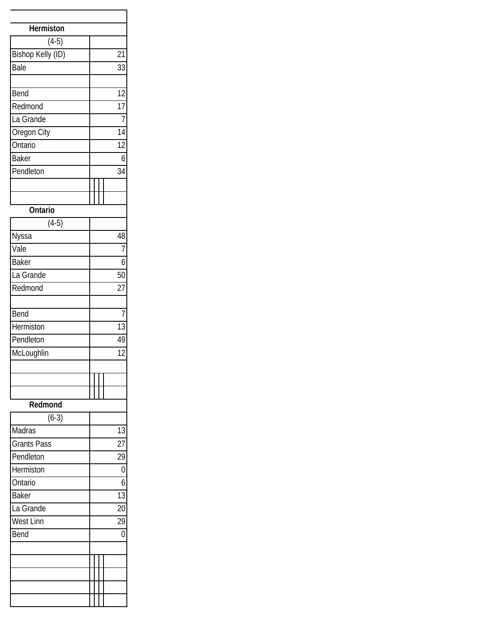| Hermiston                    |                 |
|------------------------------|-----------------|
| $(4-5)$<br>Bishop Kelly (ID) | 21              |
| Bale                         | 33              |
|                              |                 |
| Bend                         | 12              |
| Redmond                      | $\overline{17}$ |
| La Grande                    | 7               |
| Oregon City                  | 14              |
| Ontario                      | $\overline{12}$ |
| <b>Baker</b>                 | 6               |
| Pendleton                    | 34              |
|                              |                 |
|                              |                 |
| Ontario                      |                 |
| $(4-5)$                      |                 |
| Nyssa                        | 48              |
| Vale                         | 7               |
| $B$ aker                     | 6               |
| La Grande                    | $\overline{5}0$ |
| Redmond                      | $\overline{27}$ |
|                              |                 |
| Bend                         | 7               |
| Hermiston                    | 13              |
| Pendleton                    | 49              |
| McLoughlin                   | 12              |
|                              |                 |
|                              |                 |
|                              |                 |
| Redmond                      |                 |
| $(6-3)$                      |                 |
| Madras                       | 13              |
| <b>Grants Pass</b>           | 27              |
| Pendleton                    | 29              |
| Hermiston                    | 0               |
| Ontario                      | 6               |
| <b>Baker</b>                 | 13              |
| La Grande                    | 20              |
| <b>West Linn</b>             | 29              |
| Bend                         | 0               |
|                              |                 |
|                              |                 |
|                              |                 |
|                              |                 |
|                              |                 |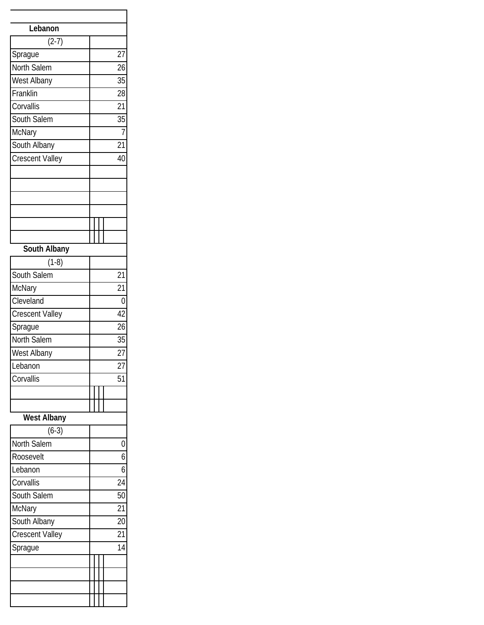| Lebanon                |                  |
|------------------------|------------------|
| $(2-7)$                |                  |
| Sprague                | 27               |
| North Salem            | 26               |
| West Albany            | 35               |
| Franklin               | 28               |
| Corvallis              | 21               |
| South Salem            | 35               |
| McNary                 | $\overline{1}$   |
| South Albany           | 21               |
| <b>Crescent Valley</b> | 40               |
|                        |                  |
|                        |                  |
|                        |                  |
| South Albany           |                  |
| $(1-8)$                |                  |
| South Salem            | $\overline{2}$ 1 |
| McNary                 | 21               |
| Cleveland              | $\overline{0}$   |
| <b>Crescent Valley</b> | 42               |
| Sprague                | $\overline{26}$  |
| North Salem            | 35               |
| West Albany            | 27               |
| Lebanon                | 27               |
| Corvallis              | 51               |
|                        |                  |
|                        |                  |
| <b>West Albany</b>     |                  |
| $(6-3)$                |                  |
| North Salem            | 0                |
| Roosevelt              | 6                |
| Lebanon                | 6                |
| Corvallis              | 24               |
| South Salem            | 50               |
| McNary                 | 21               |
| South Albany           | 20               |
| <b>Crescent Valley</b> | 21               |
| Sprague                | 14               |
|                        |                  |
|                        |                  |
|                        |                  |
|                        |                  |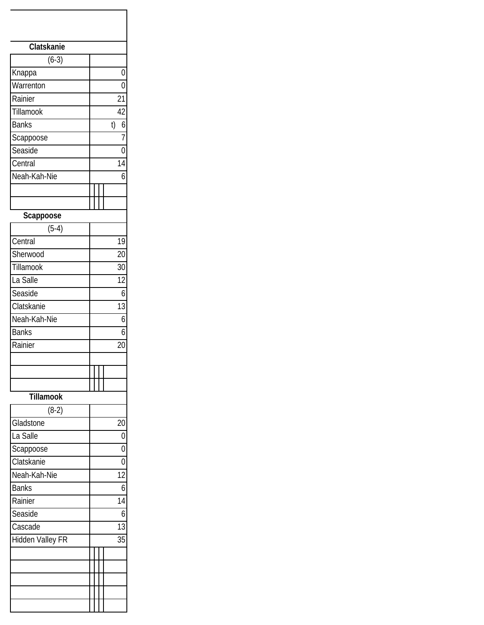| Clatskanie       |                 |
|------------------|-----------------|
| $(6-3)$          |                 |
| Knappa           | $\overline{0}$  |
| Warrenton        | $\overline{0}$  |
| Rainier          | 21              |
| Tillamook        | $\overline{42}$ |
| <b>Banks</b>     | 6<br>t)         |
| Scappoose        | 7               |
| Seaside          | 0               |
| Central          | 14              |
| Neah-Kah-Nie     | $\overline{6}$  |
|                  |                 |
|                  |                 |
| Scappoose        |                 |
| $(5-4)$          |                 |
| Central          | 19              |
| Sherwood         | 20              |
| Tillamook        | 30              |
| La Salle         | 12              |
| Seaside          | 6               |
| Clatskanie       | 13              |
| Neah-Kah-Nie     | 6               |
| <b>Banks</b>     | 6               |
| Rainier          | 20              |
|                  |                 |
|                  |                 |
|                  |                 |
| <b>Tillamook</b> |                 |
| $(8-2)$          |                 |
| Gladstone        | 20              |
| La Salle         | $\overline{0}$  |
| Scappoose        | $\overline{0}$  |
| Clatskanie       | 0               |
| Neah-Kah-Nie     | 12              |
| <b>Banks</b>     | 6               |
| Rainier          | 14              |
| Seaside          | 6               |
| Cascade          | 13              |
| Hidden Valley FR | 35              |
|                  |                 |
|                  |                 |
|                  |                 |
|                  |                 |
|                  |                 |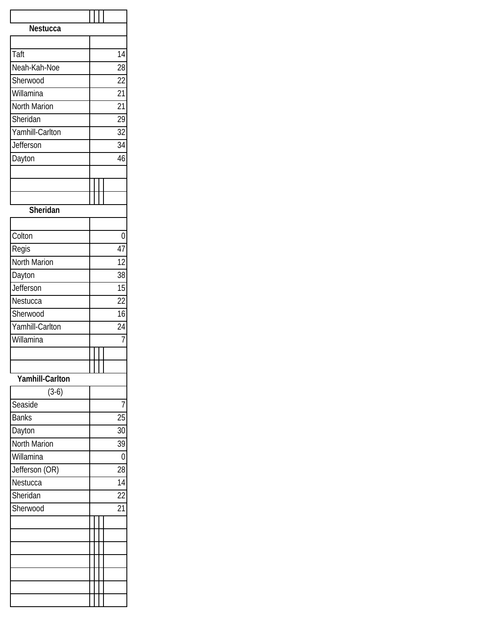| Nestucca               |  |                 |
|------------------------|--|-----------------|
|                        |  |                 |
| Taft                   |  | 14              |
| Neah-Kah-Noe           |  | 28              |
| Sherwood               |  | $\overline{22}$ |
| Willamina              |  | 21              |
| <b>North Marion</b>    |  | 21              |
| Sheridan               |  | 29              |
| Yamhill-Carlton        |  | $\overline{32}$ |
| Jefferson              |  | 34              |
| Dayton                 |  | 46              |
|                        |  |                 |
|                        |  |                 |
|                        |  |                 |
| Sheridan               |  |                 |
| Colton                 |  | 0               |
| Regis                  |  | 47              |
| North Marion           |  | 12              |
| Dayton                 |  | 38              |
| Jefferson              |  | 15              |
| Nestucca               |  | 22              |
| Sherwood               |  | 16              |
| Yamhill-Carlton        |  | $\overline{24}$ |
| Willamina              |  | $\overline{1}$  |
|                        |  |                 |
|                        |  |                 |
| <b>Yamhill-Carlton</b> |  |                 |
| $(3-6)$                |  |                 |
| Seaside                |  | 7               |
| <b>Banks</b>           |  | 25              |
| Dayton                 |  | 30              |
| North Marion           |  | 39              |
| Willamina              |  | 0               |
| Jefferson (OR)         |  | 28              |
| Nestucca               |  | 14              |
| Sheridan               |  | 22              |
| Sherwood               |  | 21              |
|                        |  |                 |
|                        |  |                 |
|                        |  |                 |
|                        |  |                 |
|                        |  |                 |
|                        |  |                 |
|                        |  |                 |
|                        |  |                 |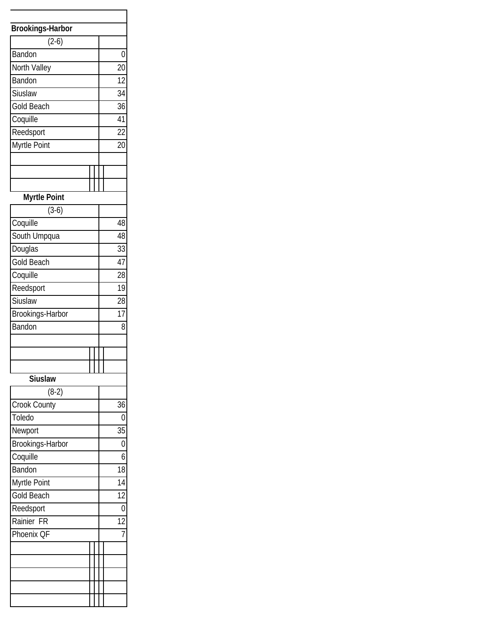| <b>Brookings-Harbor</b> |                 |
|-------------------------|-----------------|
| $(2-6)$                 |                 |
| Bandon                  | 0               |
| North Valley            | 20              |
| Bandon                  | $\overline{12}$ |
| Siuslaw                 | 34              |
| <b>Gold Beach</b>       | 36              |
| Coquille                | $\overline{41}$ |
| Reedsport               | $\overline{22}$ |
| Myrtle Point            | 20              |
|                         |                 |
|                         |                 |
|                         |                 |
| <b>Myrtle Point</b>     |                 |
| $(3-6)$                 |                 |
| Coquille                | 48              |
| South Umpqua            | 48              |
| Douglas                 | 33              |
| <b>Gold Beach</b>       | 47              |
| Coquille                | 28              |
| Reedsport               | 19              |
| Siuslaw                 | 28              |
| Brookings-Harbor        | 17              |
| Bandon                  | 8               |
|                         |                 |
|                         |                 |
|                         |                 |
| <b>Siuslaw</b>          |                 |
| $(8-2)$                 |                 |
| Crook County            | 36              |
| Toledo                  | 0               |
| Newport                 | 35              |
| Brookings-Harbor        | $\overline{0}$  |
| Coquille                | 6               |
| Bandon                  | 18              |
| Myrtle Point            | 14              |
| <b>Gold Beach</b>       | 12              |
| Reedsport               | $\overline{0}$  |
| Rainier FR              | 12              |
| Phoenix QF              | 7               |
|                         |                 |
|                         |                 |
|                         |                 |
|                         |                 |
|                         |                 |
|                         |                 |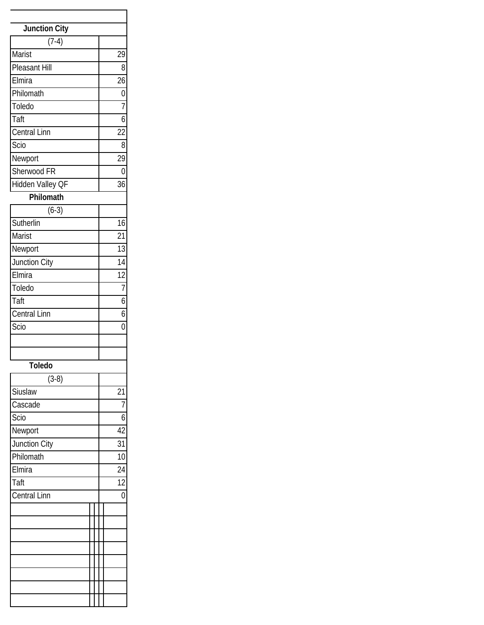| <b>Junction City</b><br>$(7-4)$<br>Marist<br>29<br>Pleasant Hill<br>8<br>Elmira<br>$\overline{26}$<br>Philomath<br>$\overline{0}$<br>Toledo<br>7<br>Taft<br>6<br>Central Linn<br>22<br>Scio<br>8 |
|--------------------------------------------------------------------------------------------------------------------------------------------------------------------------------------------------|
|                                                                                                                                                                                                  |
|                                                                                                                                                                                                  |
|                                                                                                                                                                                                  |
|                                                                                                                                                                                                  |
|                                                                                                                                                                                                  |
|                                                                                                                                                                                                  |
|                                                                                                                                                                                                  |
|                                                                                                                                                                                                  |
|                                                                                                                                                                                                  |
|                                                                                                                                                                                                  |
| 29<br>Newport                                                                                                                                                                                    |
| Sherwood <sub>FR</sub><br>$\overline{0}$                                                                                                                                                         |
| Hidden Valley QF<br>36                                                                                                                                                                           |
| Philomath                                                                                                                                                                                        |
| $(6-3)$                                                                                                                                                                                          |
| Sutherlin<br>16                                                                                                                                                                                  |
| Marist<br>21                                                                                                                                                                                     |
| 13<br>Newport                                                                                                                                                                                    |
| $\overline{14}$<br>Junction City                                                                                                                                                                 |
| 12<br>Elmira                                                                                                                                                                                     |
| Toledo<br>$\overline{7}$                                                                                                                                                                         |
| Taft<br>6                                                                                                                                                                                        |
| Central Linn<br>6                                                                                                                                                                                |
| Scio<br>0                                                                                                                                                                                        |
|                                                                                                                                                                                                  |
|                                                                                                                                                                                                  |
| <b>Toledo</b>                                                                                                                                                                                    |
| $(3-8)$                                                                                                                                                                                          |
| Siuslaw<br>21                                                                                                                                                                                    |
| Cascade<br>7                                                                                                                                                                                     |
| Scio<br>6                                                                                                                                                                                        |
| Newport<br>42                                                                                                                                                                                    |
| Junction City<br>31                                                                                                                                                                              |
| Philomath<br>10                                                                                                                                                                                  |
| Elmira<br>$\overline{24}$                                                                                                                                                                        |
| $\overline{12}$<br>$\overline{T}$ aft                                                                                                                                                            |
| Central Linn<br>0                                                                                                                                                                                |
|                                                                                                                                                                                                  |
|                                                                                                                                                                                                  |
|                                                                                                                                                                                                  |
|                                                                                                                                                                                                  |
|                                                                                                                                                                                                  |
|                                                                                                                                                                                                  |
|                                                                                                                                                                                                  |
|                                                                                                                                                                                                  |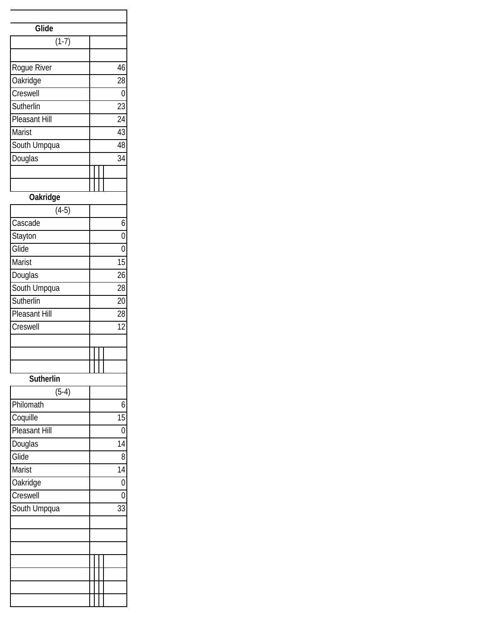| Glide                |                 |
|----------------------|-----------------|
| $(1-7)$              |                 |
|                      |                 |
| Rogue River          | 46              |
| Oakridge             | 28              |
| Creswell             | 0               |
| Sutherlin            | 23              |
| <b>Pleasant Hill</b> | $\overline{24}$ |
| Marist               | $\overline{43}$ |
| South Umpqua         | 48              |
| Douglas              | 34              |
|                      |                 |
|                      |                 |
| <b>Oakridge</b>      |                 |
| $(4-5)$              |                 |
| Cascade              | 6               |
| Stayton              | $\overline{0}$  |
| Glide                | $\overline{0}$  |
| Marist               | $\overline{15}$ |
| Douglas              | 26              |
| South Umpqua         | 28              |
| Sutherlin            | 20              |
| Pleasant Hill        | 28              |
| Creswell             | 12              |
|                      |                 |
|                      |                 |
|                      |                 |
| Sutherlin            |                 |
| $(5-4)$              |                 |
| Philomath            | 6               |
| Coquille             | 15              |
| Pleasant Hill        | 0               |
| Douglas              | 14              |
| Glide                | 8               |
| Marist               | 14              |
| Oakridge             | 0               |
| Creswell             | 0               |
| South Umpqua         | 33              |
|                      |                 |
|                      |                 |
|                      |                 |
|                      |                 |
|                      |                 |
|                      |                 |
|                      |                 |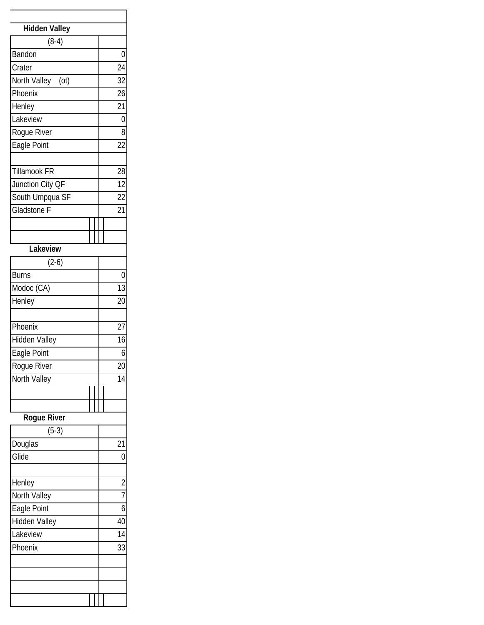| <b>Hidden Valley</b> |                 |
|----------------------|-----------------|
| $(8-4)$              |                 |
| Bandon               | 0               |
| Crater               | $\overline{24}$ |
| North Valley<br>(ot) | 32              |
| Phoenix              | 26              |
| Henley               | $\overline{21}$ |
| Lakeview             | 0               |
| Rogue River          | 8               |
| Eagle Point          | 22              |
|                      |                 |
| <b>Tillamook FR</b>  | 28              |
| Junction City QF     | $\overline{12}$ |
| South Umpqua SF      | 22              |
| <b>Gladstone F</b>   | 21              |
|                      |                 |
|                      |                 |
| Lakeview             |                 |
| $(2-6)$              |                 |
| <b>Burns</b>         | 0               |
| Modoc (CA)           | 13              |
| Henley               | 20              |
|                      |                 |
| Phoenix              | 27              |
| Hidden Valley        | 16              |
| Eagle Point          | 6               |
| Rogue River          | 20              |
| North Valley         | 14              |
|                      |                 |
|                      |                 |
| Rogue River          |                 |
| $(5-3)$              |                 |
| Douglas              | 21              |
| Glide                | 0               |
|                      |                 |
| Henley               | $\overline{2}$  |
| North Valley         | 7               |
| Eagle Point          | 6               |
| Hidden Valley        | 40              |
| Lakeview             | 14              |
| Phoenix              | 33              |
|                      |                 |
|                      |                 |
|                      |                 |
|                      |                 |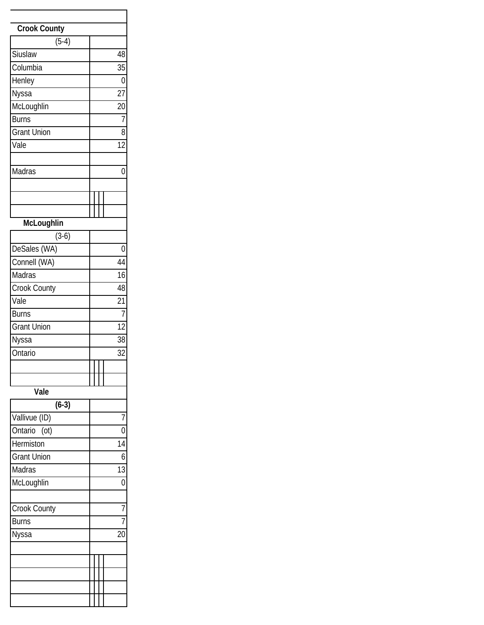| Crook County                  |    |
|-------------------------------|----|
| $(5-4)$                       |    |
| Siuslaw                       | 48 |
| Columbia                      | 35 |
| Henley                        | 0  |
| Nyssa                         | 27 |
| McLoughlin                    | 20 |
| <b>Burns</b>                  | 7  |
| <b>Grant Union</b>            | 8  |
| Vale                          | 12 |
|                               |    |
| Madras                        | 0  |
|                               |    |
|                               |    |
|                               |    |
| McLoughlin                    |    |
| $(3-6)$                       |    |
| DeSales (WA)                  | 0  |
| Connell (WA)                  | 44 |
| $\overline{\mathsf{M}}$ adras | 16 |
| Crook County                  | 48 |
| Vale                          | 21 |
| <b>Burns</b>                  | 7  |
| <b>Grant Union</b>            | 12 |
|                               | 38 |
| Nyssa                         |    |
| Ontario                       | 32 |
|                               |    |
|                               |    |
| Vale                          |    |
| $(6-3)$                       |    |
| Vallivue (ID)                 |    |
| Ontario<br>(ot)               |    |
| Hermiston                     | 14 |
| <b>Grant Union</b>            | 6  |
| Madras                        | 13 |
| McLoughlin                    | 0  |
|                               |    |
| Crook County                  | 7  |
| <b>Burns</b>                  |    |
| Nyssa                         | 20 |
|                               |    |
|                               |    |
|                               |    |
|                               |    |
|                               |    |